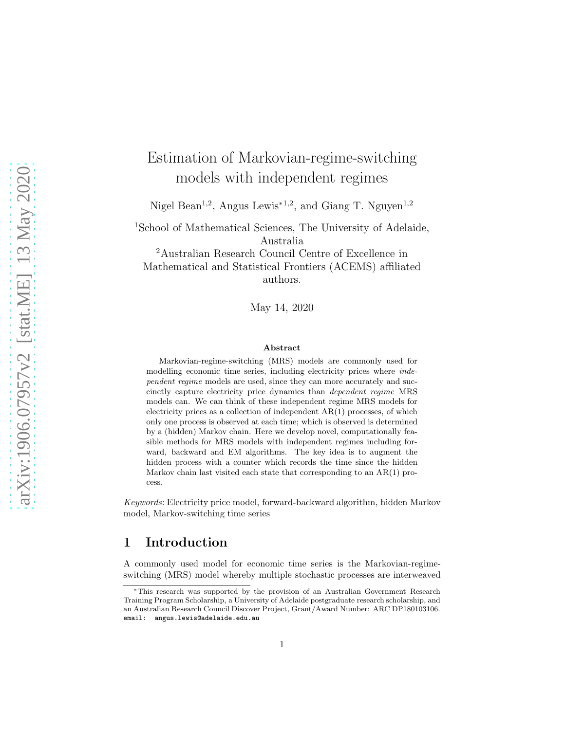# Estimation of Markovian-regime-switching models with independent regimes

Nigel Bean<sup>1,2</sup>, Angus Lewis<sup>∗1,2</sup>, and Giang T. Nguyen<sup>1,2</sup>

<sup>1</sup>School of Mathematical Sciences, The University of Adelaide, Australia

<sup>2</sup>Australian Research Council Centre of Excellence in Mathematical and Statistical Frontiers (ACEMS) affiliated authors.

May 14, 2020

#### Abstract

Markovian-regime-switching (MRS) models are commonly used for modelling economic time series, including electricity prices where independent regime models are used, since they can more accurately and succinctly capture electricity price dynamics than dependent regime MRS models can. We can think of these independent regime MRS models for electricity prices as a collection of independent AR(1) processes, of which only one process is observed at each time; which is observed is determined by a (hidden) Markov chain. Here we develop novel, computationally feasible methods for MRS models with independent regimes including forward, backward and EM algorithms. The key idea is to augment the hidden process with a counter which records the time since the hidden Markov chain last visited each state that corresponding to an AR(1) process.

Keywords: Electricity price model, forward-backward algorithm, hidden Markov model, Markov-switching time series

### 1 Introduction

A commonly used model for economic time series is the Markovian-regimeswitching (MRS) model whereby multiple stochastic processes are interweaved

<sup>∗</sup>This research was supported by the provision of an Australian Government Research Training Program Scholarship, a University of Adelaide postgraduate research scholarship, and an Australian Research Council Discover Project, Grant/Award Number: ARC DP180103106. email: angus.lewis@adelaide.edu.au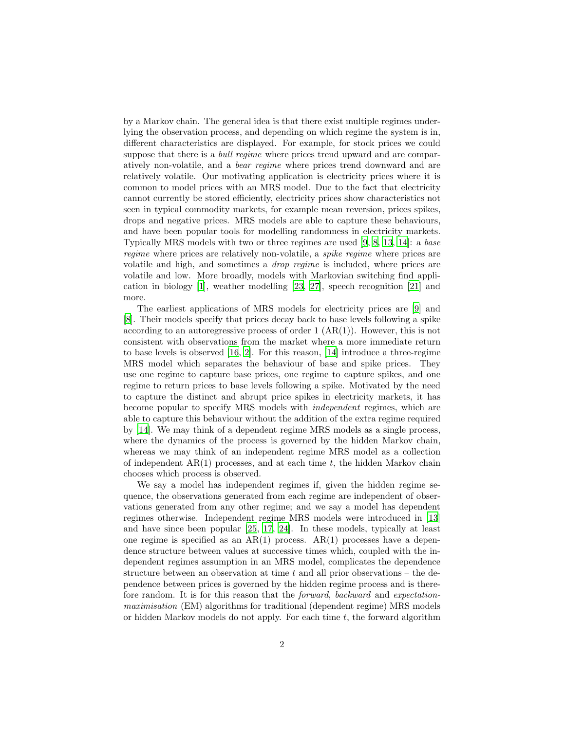by a Markov chain. The general idea is that there exist multiple regimes underlying the observation process, and depending on which regime the system is in, different characteristics are displayed. For example, for stock prices we could suppose that there is a *bull regime* where prices trend upward and are comparatively non-volatile, and a bear regime where prices trend downward and are relatively volatile. Our motivating application is electricity prices where it is common to model prices with an MRS model. Due to the fact that electricity cannot currently be stored efficiently, electricity prices show characteristics not seen in typical commodity markets, for example mean reversion, prices spikes, drops and negative prices. MRS models are able to capture these behaviours, and have been popular tools for modelling randomness in electricity markets. Typically MRS models with two or three regimes are used [\[9,](#page-37-0) [8,](#page-36-0) [13,](#page-37-1) [14\]](#page-37-2): a base regime where prices are relatively non-volatile, a *spike regime* where prices are volatile and high, and sometimes a drop regime is included, where prices are volatile and low. More broadly, models with Markovian switching find application in biology [\[1\]](#page-36-1), weather modelling [\[23,](#page-38-0) [27](#page-38-1)], speech recognition [\[21](#page-37-3)] and more.

The earliest applications of MRS models for electricity prices are [\[9](#page-37-0)] and [\[8\]](#page-36-0). Their models specify that prices decay back to base levels following a spike according to an autoregressive process of order  $1 (AR(1))$ . However, this is not consistent with observations from the market where a more immediate return to base levels is observed [\[16,](#page-37-4) [2\]](#page-36-2). For this reason, [\[14](#page-37-2)] introduce a three-regime MRS model which separates the behaviour of base and spike prices. They use one regime to capture base prices, one regime to capture spikes, and one regime to return prices to base levels following a spike. Motivated by the need to capture the distinct and abrupt price spikes in electricity markets, it has become popular to specify MRS models with independent regimes, which are able to capture this behaviour without the addition of the extra regime required by [\[14\]](#page-37-2). We may think of a dependent regime MRS models as a single process, where the dynamics of the process is governed by the hidden Markov chain, whereas we may think of an independent regime MRS model as a collection of independent  $AR(1)$  processes, and at each time t, the hidden Markov chain chooses which process is observed.

We say a model has independent regimes if, given the hidden regime sequence, the observations generated from each regime are independent of observations generated from any other regime; and we say a model has dependent regimes otherwise. Independent regime MRS models were introduced in [\[13\]](#page-37-1) and have since been popular [\[25,](#page-38-2) [17,](#page-37-5) [24\]](#page-38-3). In these models, typically at least one regime is specified as an  $AR(1)$  process.  $AR(1)$  processes have a dependence structure between values at successive times which, coupled with the independent regimes assumption in an MRS model, complicates the dependence structure between an observation at time  $t$  and all prior observations – the dependence between prices is governed by the hidden regime process and is therefore random. It is for this reason that the forward, backward and expectationmaximisation (EM) algorithms for traditional (dependent regime) MRS models or hidden Markov models do not apply. For each time  $t$ , the forward algorithm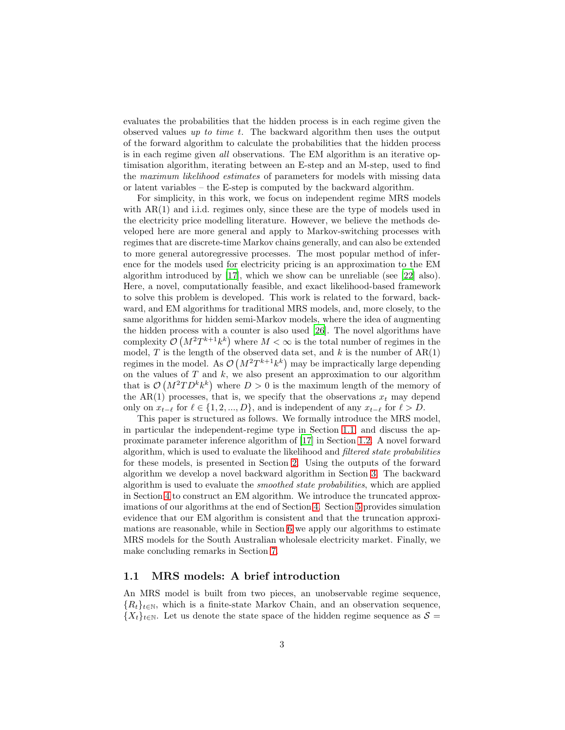evaluates the probabilities that the hidden process is in each regime given the observed values up to time t. The backward algorithm then uses the output of the forward algorithm to calculate the probabilities that the hidden process is in each regime given all observations. The EM algorithm is an iterative optimisation algorithm, iterating between an E-step and an M-step, used to find the maximum likelihood estimates of parameters for models with missing data or latent variables – the E-step is computed by the backward algorithm.

For simplicity, in this work, we focus on independent regime MRS models with  $AR(1)$  and i.i.d. regimes only, since these are the type of models used in the electricity price modelling literature. However, we believe the methods developed here are more general and apply to Markov-switching processes with regimes that are discrete-time Markov chains generally, and can also be extended to more general autoregressive processes. The most popular method of inference for the models used for electricity pricing is an approximation to the EM algorithm introduced by [\[17\]](#page-37-5), which we show can be unreliable (see [\[22\]](#page-38-4) also). Here, a novel, computationally feasible, and exact likelihood-based framework to solve this problem is developed. This work is related to the forward, backward, and EM algorithms for traditional MRS models, and, more closely, to the same algorithms for hidden semi-Markov models, where the idea of augmenting the hidden process with a counter is also used [\[26\]](#page-38-5). The novel algorithms have complexity  $\mathcal{O}(M^2T^{k+1}k^k)$  where  $M < \infty$  is the total number of regimes in the model, T is the length of the observed data set, and k is the number of  $AR(1)$ regimes in the model. As  $\mathcal{O}(M^2T^{k+1}k^k)$  may be impractically large depending on the values of  $T$  and  $k$ , we also present an approximation to our algorithm that is  $\mathcal{O}(M^2TD^kk^k)$  where  $D > 0$  is the maximum length of the memory of the AR(1) processes, that is, we specify that the observations  $x_t$  may depend only on  $x_{t-\ell}$  for  $\ell \in \{1, 2, ..., D\}$ , and is independent of any  $x_{t-\ell}$  for  $\ell > D$ .

This paper is structured as follows. We formally introduce the MRS model, in particular the independent-regime type in Section [1.1,](#page-2-0) and discuss the approximate parameter inference algorithm of [\[17\]](#page-37-5) in Section [1.2.](#page-4-0) A novel forward algorithm, which is used to evaluate the likelihood and filtered state probabilities for these models, is presented in Section [2.](#page-9-0) Using the outputs of the forward algorithm we develop a novel backward algorithm in Section [3.](#page-16-0) The backward algorithm is used to evaluate the smoothed state probabilities, which are applied in Section [4](#page-19-0) to construct an EM algorithm. We introduce the truncated approximations of our algorithms at the end of Section [4.](#page-19-0) Section [5](#page-27-0) provides simulation evidence that our EM algorithm is consistent and that the truncation approximations are reasonable, while in Section [6](#page-33-0) we apply our algorithms to estimate MRS models for the South Australian wholesale electricity market. Finally, we make concluding remarks in Section [7.](#page-35-0)

#### <span id="page-2-0"></span>1.1 MRS models: A brief introduction

An MRS model is built from two pieces, an unobservable regime sequence,  ${R_t}_{t\in\mathbb{N}}$ , which is a finite-state Markov Chain, and an observation sequence,  ${X_t}_{t\in\mathbb{N}}$ . Let us denote the state space of the hidden regime sequence as  $\mathcal{S} =$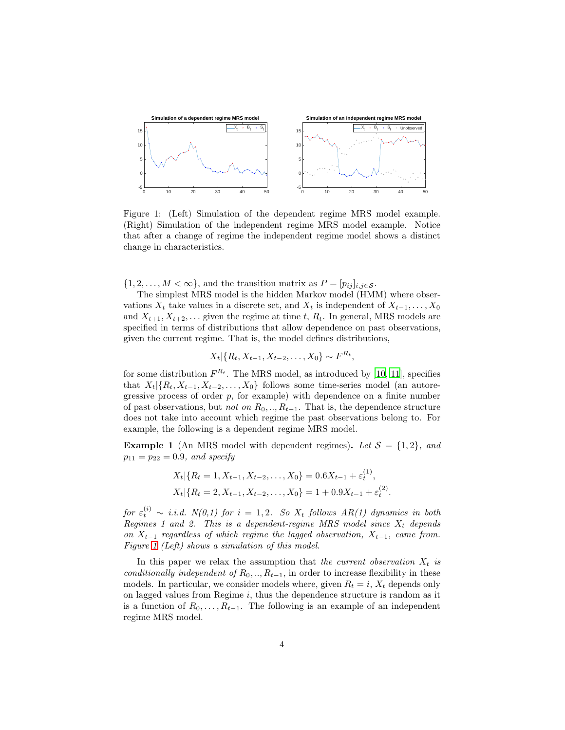

<span id="page-3-0"></span>Figure 1: (Left) Simulation of the dependent regime MRS model example. (Right) Simulation of the independent regime MRS model example. Notice that after a change of regime the independent regime model shows a distinct change in characteristics.

 $\{1, 2, \ldots, M < \infty\}$ , and the transition matrix as  $P = [p_{ij}]_{i,j \in \mathcal{S}}$ .

The simplest MRS model is the hidden Markov model (HMM) where observations  $X_t$  take values in a discrete set, and  $X_t$  is independent of  $X_{t-1}, \ldots, X_0$ and  $X_{t+1}, X_{t+2}, \ldots$  given the regime at time t,  $R_t$ . In general, MRS models are specified in terms of distributions that allow dependence on past observations, given the current regime. That is, the model defines distributions,

$$
X_t | \{R_t, X_{t-1}, X_{t-2}, \dots, X_0\} \sim F^{R_t},
$$

for some distribution  $F^{R_t}$ . The MRS model, as introduced by [\[10,](#page-37-6) [11\]](#page-37-7), specifies that  $X_t | \{R_t, X_{t-1}, X_{t-2}, \ldots, X_0\}$  follows some time-series model (an autoregressive process of order  $p$ , for example) with dependence on a finite number of past observations, but *not on*  $R_0, \ldots, R_{t-1}$ . That is, the dependence structure does not take into account which regime the past observations belong to. For example, the following is a dependent regime MRS model.

**Example 1** (An MRS model with dependent regimes). Let  $S = \{1, 2\}$ , and  $p_{11} = p_{22} = 0.9$ , and specify

$$
X_t | \{ R_t = 1, X_{t-1}, X_{t-2}, \dots, X_0 \} = 0.6 X_{t-1} + \varepsilon_t^{(1)},
$$
  

$$
X_t | \{ R_t = 2, X_{t-1}, X_{t-2}, \dots, X_0 \} = 1 + 0.9 X_{t-1} + \varepsilon_t^{(2)}.
$$

for  $\varepsilon_t^{(i)} \sim i.i.d. N(0,1)$  for  $i = 1,2$ . So  $X_t$  follows  $AR(1)$  dynamics in both Regimes 1 and 2. This is a dependent-regime MRS model since  $X_t$  depends on  $X_{t-1}$  regardless of which regime the lagged observation,  $X_{t-1}$ , came from. Figure [1](#page-3-0) (Left) shows a simulation of this model.

In this paper we relax the assumption that the current observation  $X_t$  is conditionally independent of  $R_0, \ldots, R_{t-1}$ , in order to increase flexibility in these models. In particular, we consider models where, given  $R_t = i$ ,  $X_t$  depends only on lagged values from Regime  $i$ , thus the dependence structure is random as it is a function of  $R_0, \ldots, R_{t-1}$ . The following is an example of an independent regime MRS model.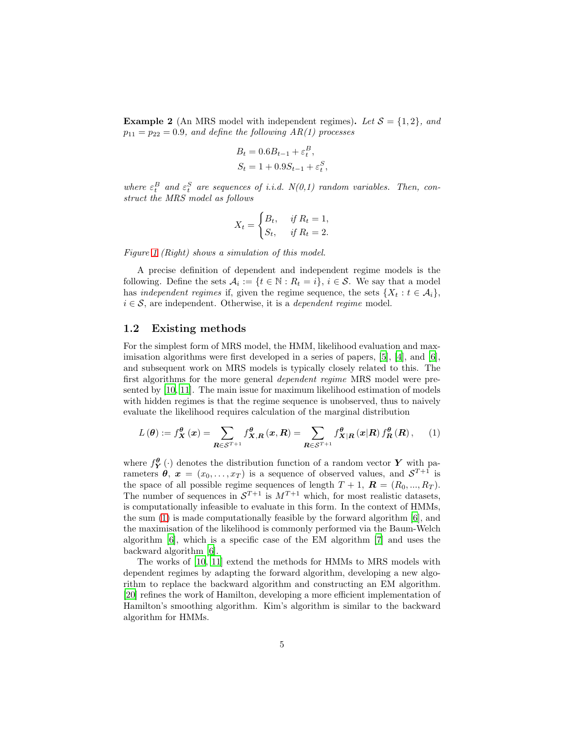**Example 2** (An MRS model with independent regimes). Let  $S = \{1, 2\}$ , and  $p_{11} = p_{22} = 0.9$ , and define the following AR(1) processes

$$
B_t = 0.6B_{t-1} + \varepsilon_t^B,
$$
  
\n
$$
S_t = 1 + 0.9S_{t-1} + \varepsilon_t^S,
$$

where  $\varepsilon_t^B$  and  $\varepsilon_t^S$  are sequences of i.i.d.  $N(0,1)$  random variables. Then, construct the MRS model as follows

$$
X_t = \begin{cases} B_t, & \text{if } R_t = 1, \\ S_t, & \text{if } R_t = 2. \end{cases}
$$

Figure [1](#page-3-0) (Right) shows a simulation of this model.

A precise definition of dependent and independent regime models is the following. Define the sets  $A_i := \{t \in \mathbb{N} : R_t = i\}, i \in \mathcal{S}$ . We say that a model has independent regimes if, given the regime sequence, the sets  $\{X_t : t \in \mathcal{A}_i\}$ ,  $i \in \mathcal{S}$ , are independent. Otherwise, it is a *dependent regime* model.

#### <span id="page-4-0"></span>1.2 Existing methods

For the simplest form of MRS model, the HMM, likelihood evaluation and maximisation algorithms were first developed in a series of papers,  $[5]$ ,  $[4]$ , and  $[6]$ , and subsequent work on MRS models is typically closely related to this. The first algorithms for the more general dependent regime MRS model were presented by [\[10,](#page-37-6) [11\]](#page-37-7). The main issue for maximum likelihood estimation of models with hidden regimes is that the regime sequence is unobserved, thus to naively evaluate the likelihood requires calculation of the marginal distribution

<span id="page-4-1"></span>
$$
L(\boldsymbol{\theta}) := f_{\boldsymbol{X}}^{\boldsymbol{\theta}}(\boldsymbol{x}) = \sum_{\boldsymbol{R} \in \mathcal{S}^{T+1}} f_{\boldsymbol{X},\boldsymbol{R}}^{\boldsymbol{\theta}}(\boldsymbol{x},\boldsymbol{R}) = \sum_{\boldsymbol{R} \in \mathcal{S}^{T+1}} f_{\boldsymbol{X}|\boldsymbol{R}}^{\boldsymbol{\theta}}(\boldsymbol{x}|\boldsymbol{R}) f_{\boldsymbol{R}}^{\boldsymbol{\theta}}(\boldsymbol{R}), \qquad (1)
$$

where  $f_Y^{\theta}(\cdot)$  denotes the distribution function of a random vector Y with parameters  $\theta$ ,  $x = (x_0, \ldots, x_T)$  is a sequence of observed values, and  $S^{T+1}$  is the space of all possible regime sequences of length  $T + 1$ ,  $\mathbf{R} = (R_0, ..., R_T)$ . The number of sequences in  $S^{T+1}$  is  $M^{T+1}$  which, for most realistic datasets, is computationally infeasible to evaluate in this form. In the context of HMMs, the sum [\(1\)](#page-4-1) is made computationally feasible by the forward algorithm [\[6\]](#page-36-5), and the maximisation of the likelihood is commonly performed via the Baum-Welch algorithm [\[6](#page-36-5)], which is a specific case of the EM algorithm [\[7](#page-36-6)] and uses the backward algorithm [\[6\]](#page-36-5).

The works of [\[10,](#page-37-6) [11](#page-37-7)] extend the methods for HMMs to MRS models with dependent regimes by adapting the forward algorithm, developing a new algorithm to replace the backward algorithm and constructing an EM algorithm. [\[20\]](#page-37-8) refines the work of Hamilton, developing a more efficient implementation of Hamilton's smoothing algorithm. Kim's algorithm is similar to the backward algorithm for HMMs.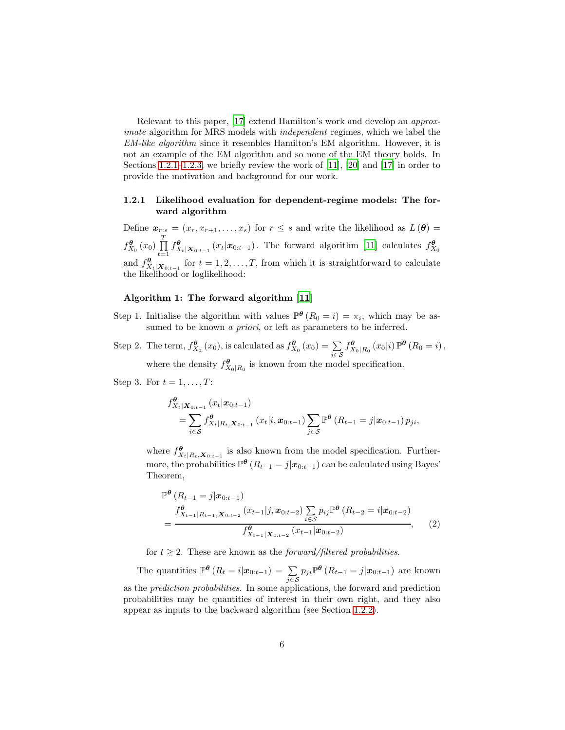Relevant to this paper, [\[17\]](#page-37-5) extend Hamilton's work and develop an approximate algorithm for MRS models with *independent* regimes, which we label the EM-like algorithm since it resembles Hamilton's EM algorithm. However, it is not an example of the EM algorithm and so none of the EM theory holds. In Sections [1.2.1–](#page-5-0)[1.2.3,](#page-8-0) we briefly review the work of [\[11\]](#page-37-7), [\[20](#page-37-8)] and [\[17](#page-37-5)] in order to provide the motivation and background for our work.

#### <span id="page-5-0"></span>1.2.1 Likelihood evaluation for dependent-regime models: The forward algorithm

Define  $\mathbf{x}_{r:s} = (x_r, x_{r+1}, \ldots, x_s)$  for  $r \leq s$  and write the likelihood as  $L(\theta) =$  $f_{X_0}^{\boldsymbol{\theta}}(x_0) \prod_{i=1}^T$  $\prod_{t=1}^{n} f_{X_t|X_{0:t-1}}^{\theta}(x_t|x_{0:t-1})$ . The forward algorithm [\[11\]](#page-37-7) calculates  $f_{X_0}^{\theta}$ and  $f_{X_t|\mathbf{X}_{0:t-1}}^{\boldsymbol{\theta}}$  for  $t = 1, 2, ..., T$ , from which it is straightforward to calculate the likelihood or loglikelihood:

#### Algorithm 1: The forward algorithm [\[11\]](#page-37-7)

- Step 1. Initialise the algorithm with values  $\mathbb{P}^{\theta}(R_0 = i) = \pi_i$ , which may be assumed to be known *a priori*, or left as parameters to be inferred.
- Step 2. The term,  $f_{X_0}^{\theta}(x_0)$ , is calculated as  $f_{X_0}^{\theta}(x_0) = \sum_{i \in S}$  $f_{X}^{\theta}$  $\mathcal{L}_{X_0|R_0}$   $(x_0|i)\,\mathbb{P}^{\theta}$   $(R_0=i)$ , where the density  $f_X^{\theta}$  $\mathcal{L}_{X_0|R_0}$  is known from the model specification.

Step 3. For  $t = 1, \ldots, T$ :

$$
f_{X_t|X_{0:t-1}}^{\theta}(x_t|x_{0:t-1})
$$
  
=  $\sum_{i \in S} f_{X_t|R_t,X_{0:t-1}}^{\theta}(x_t|i, x_{0:t-1}) \sum_{j \in S} \mathbb{P}^{\theta}(R_{t-1} = j|x_{0:t-1}) p_{ji},$ 

where  $f_{X_t|R_t, X_{0:t-1}}^{\theta}$  is also known from the model specification. Furthermore, the probabilities  $\mathbb{P}^{\theta} (R_{t-1} = j | \mathbf{x}_{0:t-1})$  can be calculated using Bayes' Theorem,

$$
\mathbb{P}^{\theta}\left(R_{t-1}=j|\boldsymbol{x}_{0:t-1}\right)
$$
\n
$$
=\frac{f_{X_{t-1}|R_{t-1},\boldsymbol{X}_{0:t-2}}^{\theta}\left(x_{t-1}|j,\boldsymbol{x}_{0:t-2}\right)\sum_{i\in S}p_{ij}\mathbb{P}^{\theta}\left(R_{t-2}=i|\boldsymbol{x}_{0:t-2}\right)}{f_{X_{t-1}|\boldsymbol{X}_{0:t-2}}^{\theta}\left(x_{t-1}|\boldsymbol{x}_{0:t-2}\right)},\qquad(2)
$$

for  $t \geq 2$ . These are known as the *forward/filtered probabilities*.

The quantities  $\mathbb{P}^{\theta}\left(R_t=i|\boldsymbol{x}_{0:t-1}\right)=\sum_{j\in\mathcal{S}}p_{ji}\mathbb{P}^{\theta}\left(R_{t-1}=j|\boldsymbol{x}_{0:t-1}\right)$  are known as the *prediction probabilities*. In some applications, the forward and prediction probabilities may be quantities of interest in their own right, and they also appear as inputs to the backward algorithm (see Section [1.2.2\)](#page-6-0).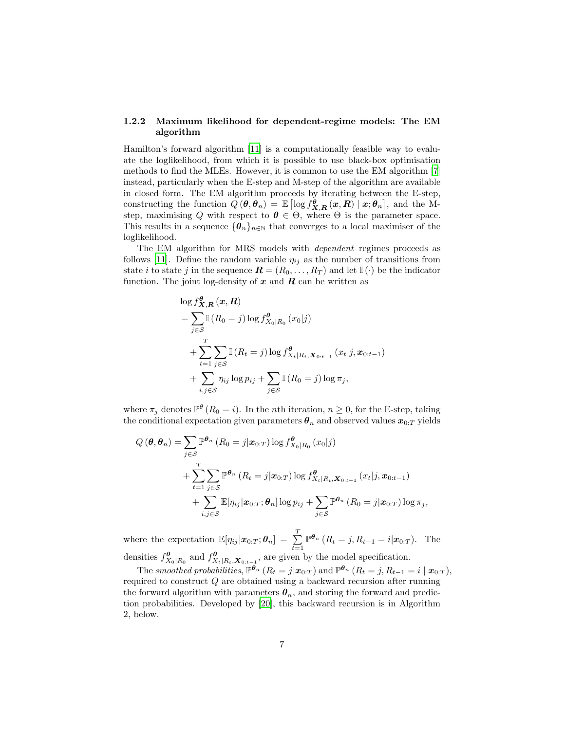#### <span id="page-6-0"></span>1.2.2 Maximum likelihood for dependent-regime models: The EM algorithm

Hamilton's forward algorithm [\[11](#page-37-7)] is a computationally feasible way to evaluate the loglikelihood, from which it is possible to use black-box optimisation methods to find the MLEs. However, it is common to use the EM algorithm [\[7\]](#page-36-6) instead, particularly when the E-step and M-step of the algorithm are available in closed form. The EM algorithm proceeds by iterating between the E-step, constructing the function  $Q(\theta, \theta_n) = \mathbb{E} \left[ \log f_{\mathbf{X},\mathbf{R}}^{\tilde{\theta}}(\mathbf{x},\mathbf{R}) \mid \mathbf{x}; \theta_n \right]$ , and the Mstep, maximising Q with respect to  $\theta \in \Theta$ , where  $\Theta$  is the parameter space. This results in a sequence  ${\lbrace \theta_n \rbrace_{n\in\mathbb{N}}}$  that converges to a local maximiser of the loglikelihood.

The EM algorithm for MRS models with dependent regimes proceeds as follows [\[11\]](#page-37-7). Define the random variable  $\eta_{ij}$  as the number of transitions from state *i* to state *j* in the sequence  $\mathbf{R} = (R_0, \ldots, R_T)$  and let  $\mathbb{I}(\cdot)$  be the indicator function. The joint log-density of  $x$  and  $R$  can be written as

$$
\log f_{\mathbf{X},\mathbf{R}}^{\theta}(\mathbf{x},\mathbf{R})
$$
\n
$$
= \sum_{j\in S} \mathbb{I} (R_0 = j) \log f_{X_0|R_0}^{\theta} (x_0|j)
$$
\n
$$
+ \sum_{t=1}^{T} \sum_{j\in S} \mathbb{I} (R_t = j) \log f_{X_t|R_t,\mathbf{X}_{0:t-1}}^{\theta} (x_t|j,\mathbf{x}_{0:t-1})
$$
\n
$$
+ \sum_{i,j\in S} \eta_{ij} \log p_{ij} + \sum_{j\in S} \mathbb{I} (R_0 = j) \log \pi_j,
$$

where  $\pi_j$  denotes  $\mathbb{P}^{\theta}$  ( $R_0 = i$ ). In the *n*th iteration,  $n \geq 0$ , for the E-step, taking the conditional expectation given parameters  $\theta_n$  and observed values  $x_{0:T}$  yields

$$
Q(\boldsymbol{\theta}, \boldsymbol{\theta}_n) = \sum_{j \in S} \mathbb{P}^{\boldsymbol{\theta}_n} (R_0 = j | \boldsymbol{x}_{0:T}) \log f_{X_0|R_0}^{\boldsymbol{\theta}} (x_0 | j)
$$
  
+ 
$$
\sum_{t=1}^T \sum_{j \in S} \mathbb{P}^{\boldsymbol{\theta}_n} (R_t = j | \boldsymbol{x}_{0:T}) \log f_{X_t|R_t, \boldsymbol{X}_{0:t-1}}^{\boldsymbol{\theta}} (x_t | j, \boldsymbol{x}_{0:t-1})
$$
  
+ 
$$
\sum_{i,j \in S} \mathbb{E} [\eta_{ij} | \boldsymbol{x}_{0:T}; \boldsymbol{\theta}_n] \log p_{ij} + \sum_{j \in S} \mathbb{P}^{\boldsymbol{\theta}_n} (R_0 = j | \boldsymbol{x}_{0:T}) \log \pi_j,
$$

where the expectation  $\mathbb{E}[\eta_{ij}|\boldsymbol{x}_{0:T};\boldsymbol{\theta}_n] = \sum_{i=1}^T$  $t=1$  $\mathbb{P}^{\theta_n} (R_t = j, R_{t-1} = i | \mathbf{x}_{0:T}).$  The densities  $f_{X}^{\theta}$  $\mathcal{H}_{X_0|R_0}$  and  $f_{X_t|R_t, \mathbf{X}_{0:t-1}}^{\theta}$ , are given by the model specification.

The smoothed probabilities,  $\mathbb{P}^{\theta_n}$   $(R_t = j | \mathbf{x}_{0:T})$  and  $\mathbb{P}^{\theta_n}$   $(R_t = j, R_{t-1} = i | \mathbf{x}_{0:T})$ , required to construct Q are obtained using a backward recursion after running the forward algorithm with parameters  $\theta_n$ , and storing the forward and prediction probabilities. Developed by [\[20\]](#page-37-8), this backward recursion is in Algorithm 2, below.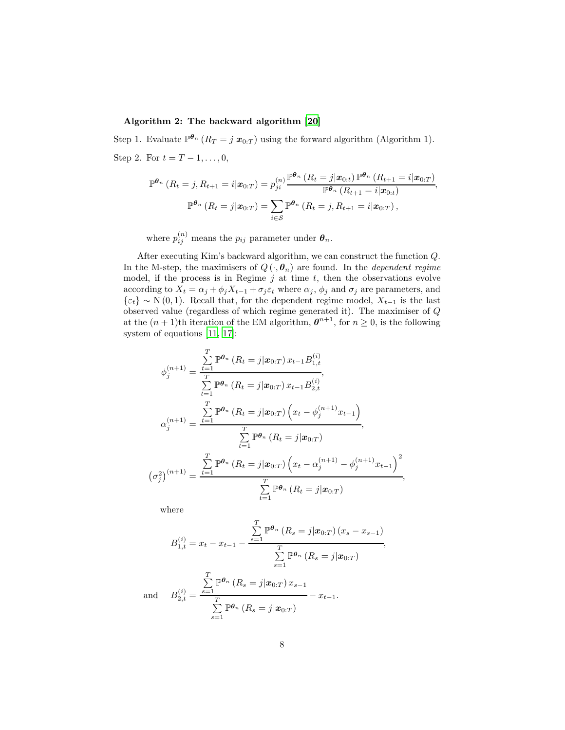#### Algorithm 2: The backward algorithm [\[20\]](#page-37-8)

Step 1. Evaluate  $\mathbb{P}^{\theta_n} (R_T = j | \mathbf{x}_{0:T})$  using the forward algorithm (Algorithm 1). Step 2. For  $t = T - 1, ..., 0$ ,

$$
\mathbb{P}^{\theta_n} (R_t = j, R_{t+1} = i | \mathbf{x}_{0:T}) = p_{ji}^{(n)} \frac{\mathbb{P}^{\theta_n} (R_t = j | \mathbf{x}_{0:t}) \mathbb{P}^{\theta_n} (R_{t+1} = i | \mathbf{x}_{0:T})}{\mathbb{P}^{\theta_n} (R_{t+1} = i | \mathbf{x}_{0:t})},
$$

$$
\mathbb{P}^{\theta_n} (R_t = j | \mathbf{x}_{0:T}) = \sum_{i \in \mathcal{S}} \mathbb{P}^{\theta_n} (R_t = j, R_{t+1} = i | \mathbf{x}_{0:T}),
$$

where  $p_{ij}^{(n)}$  means the  $p_{ij}$  parameter under  $\boldsymbol{\theta}_n$ .

After executing Kim's backward algorithm, we can construct the function Q. In the M-step, the maximisers of  $Q(\cdot, \theta_n)$  are found. In the *dependent regime* model, if the process is in Regime  $j$  at time  $t$ , then the observations evolve according to  $X_t = \alpha_j + \phi_j X_{t-1} + \sigma_j \varepsilon_t$  where  $\alpha_j$ ,  $\phi_j$  and  $\sigma_j$  are parameters, and  $\{\varepsilon_t\} \sim \mathcal{N}(0, 1)$ . Recall that, for the dependent regime model,  $X_{t-1}$  is the last observed value (regardless of which regime generated it). The maximiser of  $\boldsymbol{Q}$ at the  $(n+1)$ th iteration of the EM algorithm,  $\boldsymbol{\theta}^{n+1}$ , for  $n \geq 0$ , is the following system of equations [\[11,](#page-37-7) [17\]](#page-37-5):

$$
\phi_j^{(n+1)} = \frac{\sum_{t=1}^T \mathbb{P}^{\theta_n} (R_t = j | \mathbf{x}_{0:T}) x_{t-1} B_{1,t}^{(i)}}{\sum_{t=1}^T \mathbb{P}^{\theta_n} (R_t = j | \mathbf{x}_{0:T}) x_{t-1} B_{2,t}^{(i)}},
$$
\n
$$
\alpha_j^{(n+1)} = \frac{\sum_{t=1}^T \mathbb{P}^{\theta_n} (R_t = j | \mathbf{x}_{0:T}) (x_t - \phi_j^{(n+1)} x_{t-1})}{\sum_{t=1}^T \mathbb{P}^{\theta_n} (R_t = j | \mathbf{x}_{0:T})},
$$
\n
$$
(\sigma_j^2)^{(n+1)} = \frac{\sum_{t=1}^T \mathbb{P}^{\theta_n} (R_t = j | \mathbf{x}_{0:T}) (x_t - \alpha_j^{(n+1)} - \phi_j^{(n+1)} x_{t-1})^2}{\sum_{t=1}^T \mathbb{P}^{\theta_n} (R_t = j | \mathbf{x}_{0:T})},
$$

where

$$
B_{1,t}^{(i)} = x_t - x_{t-1} - \frac{\sum_{s=1}^{T} \mathbb{P}^{\theta_n} (R_s = j | \mathbf{x}_{0:T}) (x_s - x_{s-1})}{\sum_{s=1}^{T} \mathbb{P}^{\theta_n} (R_s = j | \mathbf{x}_{0:T})},
$$

$$
1 \t B_{2,t}^{(i)} = \frac{\sum_{s=1}^{T} \mathbb{P}^{\theta_n} (R_s = j | \mathbf{x}_{0:T}) x_{s-1}}{\sum_{s=1}^{T} \mathbb{P}^{\theta_n} (R_s = j | \mathbf{x}_{0:T})} - x_{t-1}.
$$

and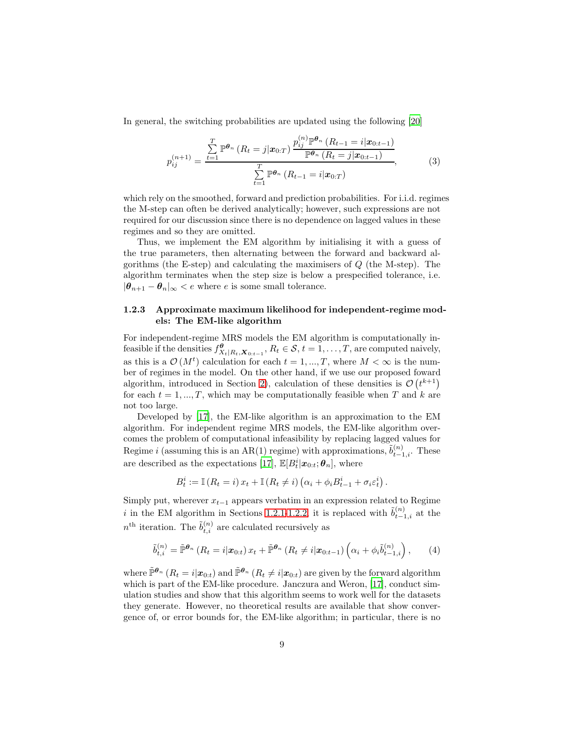In general, the switching probabilities are updated using the following [\[20](#page-37-8)]

$$
p_{ij}^{(n+1)} = \frac{\sum_{t=1}^{T} \mathbb{P}^{\theta_n} (R_t = j | \mathbf{x}_{0:T}) \frac{p_{ij}^{(n)} \mathbb{P}^{\theta_n} (R_{t-1} = i | \mathbf{x}_{0:t-1})}{\mathbb{P}^{\theta_n} (R_t = j | \mathbf{x}_{0:t-1})},
$$
\n
$$
\sum_{t=1}^{T} \mathbb{P}^{\theta_n} (R_{t-1} = i | \mathbf{x}_{0:T})
$$
\n(3)

which rely on the smoothed, forward and prediction probabilities. For i.i.d. regimes the M-step can often be derived analytically; however, such expressions are not required for our discussion since there is no dependence on lagged values in these regimes and so they are omitted.

Thus, we implement the EM algorithm by initialising it with a guess of the true parameters, then alternating between the forward and backward algorithms (the E-step) and calculating the maximisers of  $Q$  (the M-step). The algorithm terminates when the step size is below a prespecified tolerance, i.e.  $|\theta_{n+1} - \theta_n|_{\infty} < e$  where e is some small tolerance.

#### <span id="page-8-0"></span>1.2.3 Approximate maximum likelihood for independent-regime models: The EM-like algorithm

For independent-regime MRS models the EM algorithm is computationally infeasible if the densities  $f_{X_t|R_t,X_{0:t-1}}^{\theta}$ ,  $R_t \in \mathcal{S}$ ,  $t = 1, ..., T$ , are computed naively, as this is a  $\mathcal{O}(M^t)$  calculation for each  $t = 1, ..., T$ , where  $M < \infty$  is the number of regimes in the model. On the other hand, if we use our proposed foward algorithm, introduced in Section [2\)](#page-9-0), calculation of these densities is  $\mathcal{O}(t^{k+1})$ for each  $t = 1, ..., T$ , which may be computationally feasible when T and k are not too large.

Developed by [\[17](#page-37-5)], the EM-like algorithm is an approximation to the EM algorithm. For independent regime MRS models, the EM-like algorithm overcomes the problem of computational infeasibility by replacing lagged values for Regime *i* (assuming this is an AR(1) regime) with approximations,  $\tilde{b}_{t-1,i}^{(n)}$ . These are described as the expectations [\[17](#page-37-5)],  $\mathbb{E}[B_t^i | \mathbf{x}_{0:t}; \boldsymbol{\theta}_n]$ , where

$$
B_t^i := \mathbb{I}(R_t = i) x_t + \mathbb{I}(R_t \neq i) (\alpha_i + \phi_i B_{t-1}^i + \sigma_i \varepsilon_t^i).
$$

Simply put, wherever  $x_{t-1}$  appears verbatim in an expression related to Regime i in the EM algorithm in Sections [1.2.1](#page-5-0)[-1.2.2,](#page-6-0) it is replaced with  $\tilde{b}_{t-1,i}^{(n)}$  at the  $n<sup>th</sup>$  iteration. The  $\tilde{b}^{(n)}_{t,i}$  are calculated recursively as

$$
\tilde{b}_{t,i}^{(n)} = \tilde{\mathbb{P}}^{\theta_n} \left( R_t = i | \mathbf{x}_{0:t} \right) x_t + \tilde{\mathbb{P}}^{\theta_n} \left( R_t \neq i | \mathbf{x}_{0:t-1} \right) \left( \alpha_i + \phi_i \tilde{b}_{t-1,i}^{(n)} \right), \tag{4}
$$

where  $\tilde{\mathbb{P}}^{\theta_n}$   $(R_t = i | \mathbf{x}_{0:t})$  and  $\tilde{\mathbb{P}}^{\theta_n}$   $(R_t \neq i | \mathbf{x}_{0:t})$  are given by the forward algorithm which is part of the EM-like procedure. Janczura and Weron, [\[17\]](#page-37-5), conduct simulation studies and show that this algorithm seems to work well for the datasets they generate. However, no theoretical results are available that show convergence of, or error bounds for, the EM-like algorithm; in particular, there is no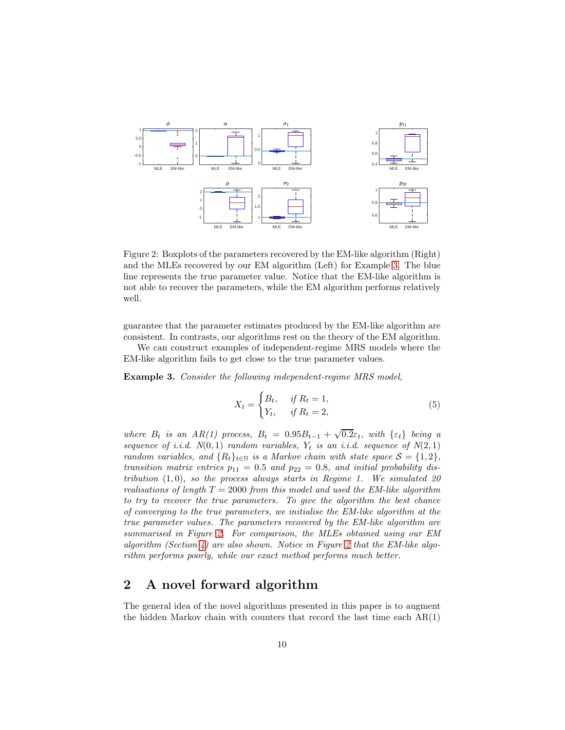

<span id="page-9-2"></span>Figure 2: Boxplots of the parameters recovered by the EM-like algorithm (Right) and the MLEs recovered by our EM algorithm (Left) for Example [3.](#page-9-1) The blue line represents the true parameter value. Notice that the EM-like algorithm is not able to recover the parameters, while the EM algorithm performs relatively well.

guarantee that the parameter estimates produced by the EM-like algorithm are consistent. In contrasts, our algorithms rest on the theory of the EM algorithm.

We can construct examples of independent-regime MRS models where the EM-like algorithm fails to get close to the true parameter values.

<span id="page-9-1"></span>Example 3. Consider the following independent-regime MRS model,

$$
X_t = \begin{cases} B_t, & \text{if } R_t = 1, \\ Y_t, & \text{if } R_t = 2, \end{cases} \tag{5}
$$

where  $B_t$  is an  $AR(1)$  process,  $B_t = 0.95B_{t-1} + \sqrt{0.2\varepsilon_t}$ , with  $\{\varepsilon_t\}$  being a sequence of i.i.d.  $N(0, 1)$  random variables,  $Y_t$  is an i.i.d. sequence of  $N(2, 1)$ random variables, and  $\{R_t\}_{t\in\mathbb{N}}$  is a Markov chain with state space  $\mathcal{S} = \{1,2\},\$ transition matrix entries  $p_{11} = 0.5$  and  $p_{22} = 0.8$ , and initial probability distribution  $(1,0)$ , so the process always starts in Regime 1. We simulated 20 realisations of length  $T = 2000$  from this model and used the EM-like algorithm to try to recover the true parameters. To give the algorithm the best chance of converging to the true parameters, we initialise the EM-like algorithm at the true parameter values. The parameters recovered by the EM-like algorithm are summarised in Figure [2.](#page-9-2) For comparison, the MLEs obtained using our EM algorithm (Section [4\)](#page-19-0) are also shown. Notice in Figure [2](#page-9-2) that the EM-like algorithm performs poorly, while our exact method performs much better.

### <span id="page-9-0"></span>2 A novel forward algorithm

The general idea of the novel algorithms presented in this paper is to augment the hidden Markov chain with counters that record the last time each  $AR(1)$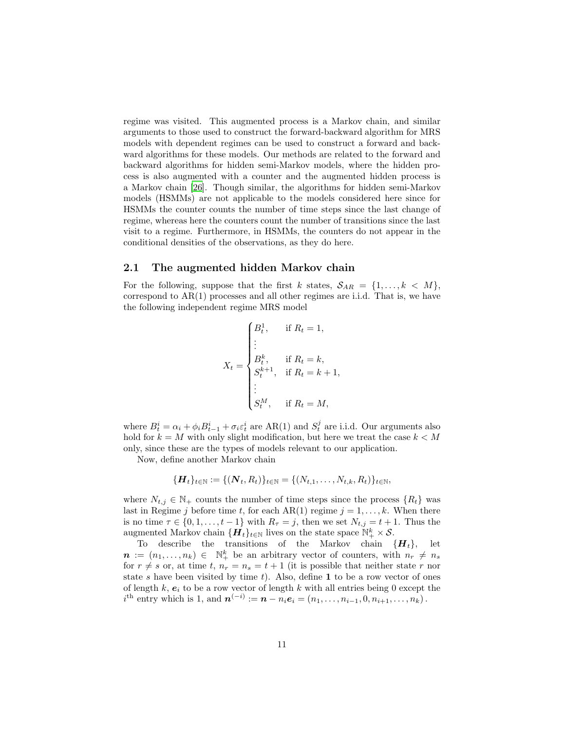regime was visited. This augmented process is a Markov chain, and similar arguments to those used to construct the forward-backward algorithm for MRS models with dependent regimes can be used to construct a forward and backward algorithms for these models. Our methods are related to the forward and backward algorithms for hidden semi-Markov models, where the hidden process is also augmented with a counter and the augmented hidden process is a Markov chain [\[26](#page-38-5)]. Though similar, the algorithms for hidden semi-Markov models (HSMMs) are not applicable to the models considered here since for HSMMs the counter counts the number of time steps since the last change of regime, whereas here the counters count the number of transitions since the last visit to a regime. Furthermore, in HSMMs, the counters do not appear in the conditional densities of the observations, as they do here.

#### 2.1 The augmented hidden Markov chain

For the following, suppose that the first k states,  $S_{AR} = \{1, \ldots, k \, \langle M \},\$ correspond to AR(1) processes and all other regimes are i.i.d. That is, we have the following independent regime MRS model

$$
X_{t} = \begin{cases} B_{t}^{1}, & \text{if } R_{t} = 1, \\ \vdots \\ B_{t}^{k}, & \text{if } R_{t} = k, \\ S_{t}^{k+1}, & \text{if } R_{t} = k+1, \\ \vdots \\ S_{t}^{M}, & \text{if } R_{t} = M, \end{cases}
$$

where  $B_t^i = \alpha_i + \phi_i B_{t-1}^i + \sigma_i \varepsilon_t^i$  are AR(1) and  $S_t^j$  are i.i.d. Our arguments also hold for  $k = M$  with only slight modification, but here we treat the case  $k < M$ only, since these are the types of models relevant to our application.

Now, define another Markov chain

$$
\{\boldsymbol{H}_t\}_{t\in\mathbb{N}}:=\{(\boldsymbol{N}_t,R_t)\}_{t\in\mathbb{N}}=\{(N_{t,1},\ldots,N_{t,k},R_t)\}_{t\in\mathbb{N}},
$$

where  $N_{t,j} \in \mathbb{N}_+$  counts the number of time steps since the process  $\{R_t\}$  was last in Regime j before time t, for each AR(1) regime  $j = 1, \ldots, k$ . When there is no time  $\tau \in \{0, 1, \ldots, t-1\}$  with  $R_{\tau} = j$ , then we set  $N_{t,j} = t+1$ . Thus the augmented Markov chain  $\{\mathbf{H}_t\}_{t\in\mathbb{N}}$  lives on the state space  $\mathbb{N}_+^k \times \mathcal{S}$ .

To describe the transitions of the Markov chain  $\{H_t\}$ , let  $\boldsymbol{n} := (n_1, \ldots, n_k) \in \mathbb{N}_+^k$  be an arbitrary vector of counters, with  $n_r \neq n_s$ for  $r \neq s$  or, at time t,  $n_r = n_s = t + 1$  (it is possible that neither state r nor state s have been visited by time  $t$ ). Also, define 1 to be a row vector of ones of length  $k$ ,  $e_i$  to be a row vector of length k with all entries being 0 except the  $i^{\text{th}}$  entry which is 1, and  $\boldsymbol{n}^{(-i)} := \boldsymbol{n} - n_i \boldsymbol{e}_i = (n_1, \ldots, n_{i-1}, 0, n_{i+1}, \ldots, n_k)$ .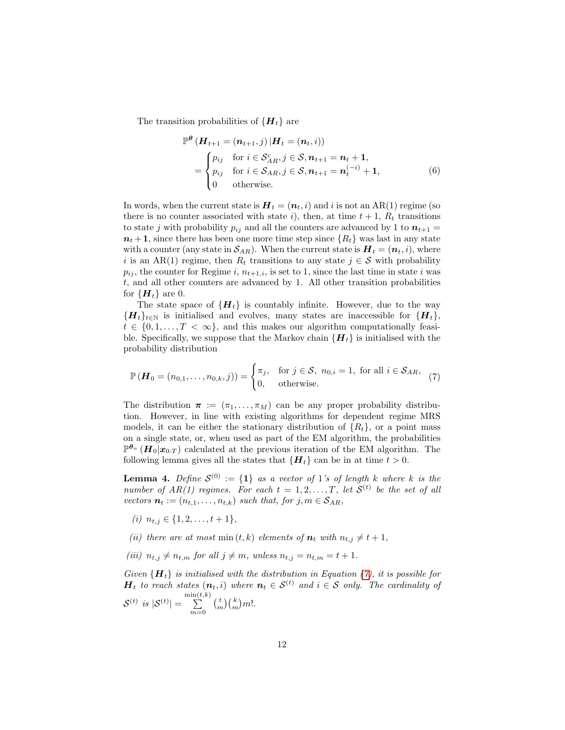The transition probabilities of  ${H_t}$  are

$$
\mathbb{P}^{\theta} \left( \mathbf{H}_{t+1} = (\mathbf{n}_{t+1}, j) \, | \mathbf{H}_t = (\mathbf{n}_t, i) \right)
$$
\n
$$
= \begin{cases}\n p_{ij} & \text{for } i \in \mathcal{S}_{AR}^c, j \in \mathcal{S}, \mathbf{n}_{t+1} = \mathbf{n}_t + \mathbf{1}, \\
 p_{ij} & \text{for } i \in \mathcal{S}_{AR}, j \in \mathcal{S}, \mathbf{n}_{t+1} = \mathbf{n}_t^{(-i)} + \mathbf{1}, \\
 0 & \text{otherwise.}\n \end{cases} \tag{6}
$$

In words, when the current state is  $H_t = (n_t, i)$  and i is not an AR(1) regime (so there is no counter associated with state i), then, at time  $t + 1$ ,  $R_t$  transitions to state j with probability  $p_{ij}$  and all the counters are advanced by 1 to  $n_{t+1} =$  $n_t + 1$ , since there has been one more time step since  $\{R_t\}$  was last in any state with a counter (any state in  $\mathcal{S}_{AR}$ ). When the current state is  $\boldsymbol{H}_t = (\boldsymbol{n}_t, i)$ , where i is an AR(1) regime, then  $R_t$  transitions to any state  $j \in S$  with probability  $p_{ij}$ , the counter for Regime i,  $n_{t+1,i}$ , is set to 1, since the last time in state i was t, and all other counters are advanced by 1. All other transition probabilities for  ${H_t}$  are 0.

The state space of  ${H_t}$  is countably infinite. However, due to the way  ${H_t}_{t\in\mathbb{N}}$  is initialised and evolves, many states are inaccessible for  ${H_t}$ ,  $t \in \{0, 1, \ldots, T < \infty\},$  and this makes our algorithm computationally feasible. Specifically, we suppose that the Markov chain  ${H_t}$  is initialised with the probability distribution

<span id="page-11-0"></span>
$$
\mathbb{P}\left(\mathbf{H}_0 = (n_{0,1}, \dots, n_{0,k}, j)\right) = \begin{cases} \pi_j, & \text{for } j \in \mathcal{S}, \ n_{0,i} = 1, \text{ for all } i \in \mathcal{S}_{AR}, \\ 0, & \text{otherwise.} \end{cases} \tag{7}
$$

The distribution  $\pi := (\pi_1, \ldots, \pi_M)$  can be any proper probability distribution. However, in line with existing algorithms for dependent regime MRS models, it can be either the stationary distribution of  $\{R_t\}$ , or a point mass on a single state, or, when used as part of the EM algorithm, the probabilities  $\mathbb{P}^{\theta_n}(\boldsymbol{H}_0|\boldsymbol{x}_{0:T})$  calculated at the previous iteration of the EM algorithm. The following lemma gives all the states that  $\{H_t\}$  can be in at time  $t > 0$ .

<span id="page-11-1"></span>**Lemma 4.** Define  $S^{(0)} := \{1\}$  as a vector of 1's of length k where k is the number of  $AR(1)$  regimes. For each  $t = 1, 2, ..., T$ , let  $S<sup>(t)</sup>$  be the set of all vectors  $n_t := (n_{t,1}, \ldots, n_{t,k})$  such that, for  $j, m \in S_{AR}$ ,

- (i)  $n_{t,j} \in \{1, 2, \ldots, t+1\},\$
- (ii) there are at most min  $(t, k)$  elements of  $n_t$  with  $n_{t,i} \neq t + 1$ ,
- (iii)  $n_{t,j} \neq n_{t,m}$  for all  $j \neq m$ , unless  $n_{t,j} = n_{t,m} = t + 1$ .

Given  ${H_t}$  is initialised with the distribution in Equation [\(7\)](#page-11-0), it is possible for  $H_t$  to reach states  $(n_t, i)$  where  $n_t \in S^{(t)}$  and  $i \in S$  only. The cardinality of  $\mathcal{S}^{(t)}$  is  $|\mathcal{S}^{(t)}| =$  $\sum_{\sum}^{\min(t,k)}$  $m=0$  $\binom{t}{m}\binom{k}{m}m!$ .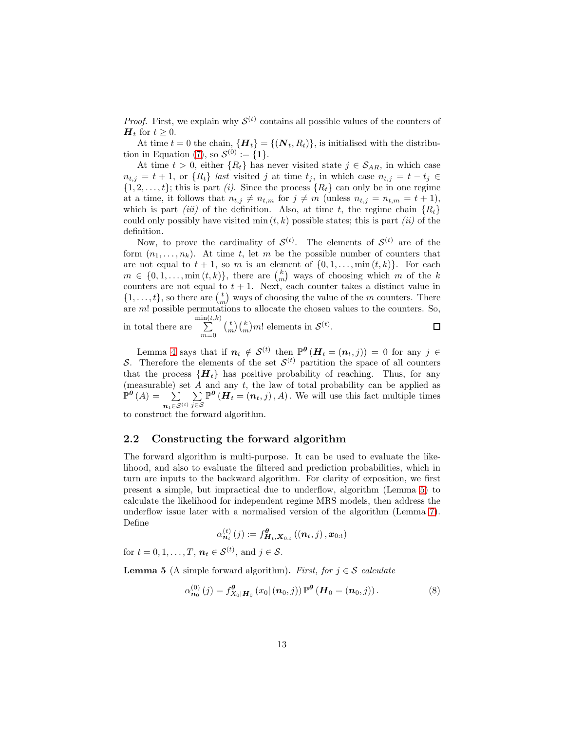*Proof.* First, we explain why  $S^{(t)}$  contains all possible values of the counters of  $H_t$  for  $t \geq 0$ .

At time  $t = 0$  the chain,  $\{H_t\} = \{(N_t, R_t)\}\$ , is initialised with the distribu-tion in Equation [\(7\)](#page-11-0), so  $\mathcal{S}^{(0)} := \{1\}.$ 

At time  $t > 0$ , either  $\{R_t\}$  has never visited state  $j \in S_{AR}$ , in which case  $n_{t,j} = t + 1$ , or  $\{R_t\}$  last visited j at time  $t_j$ , in which case  $n_{t,j} = t - t_j \in$  $\{1, 2, \ldots, t\}$ ; this is part *(i)*. Since the process  $\{R_t\}$  can only be in one regime at a time, it follows that  $n_{t,j} \neq n_{t,m}$  for  $j \neq m$  (unless  $n_{t,j} = n_{t,m} = t + 1$ ), which is part *(iii)* of the definition. Also, at time t, the regime chain  ${R<sub>t</sub>}$ could only possibly have visited min  $(t, k)$  possible states; this is part *(ii)* of the definition.

Now, to prove the cardinality of  $\mathcal{S}^{(t)}$ . The elements of  $\mathcal{S}^{(t)}$  are of the form  $(n_1, \ldots, n_k)$ . At time t, let m be the possible number of counters that are not equal to  $t + 1$ , so m is an element of  $\{0, 1, \ldots, \min(t, k)\}\$ . For each  $m \in \{0, 1, \ldots, \min(t, k)\},\$  there are  $\binom{k}{m}$  ways of choosing which m of the k counters are not equal to  $t + 1$ . Next, each counter takes a distinct value in  $\{1, \ldots, t\}$ , so there are  $\binom{t}{m}$  ways of choosing the value of the m counters. There are m! possible permutations to allocate the chosen values to the counters. So,  $\sum_{k=1}^{\min(t,k)}$  $\binom{t}{m}\binom{k}{m}m!$  elements in  $\mathcal{S}^{(t)}$ . in total there are  $\Box$  $m=0$ 

Lemma [4](#page-11-1) says that if  $n_t \notin \mathcal{S}^{(t)}$  then  $\mathbb{P}^{\theta}(H_t = (n_t, j)) = 0$  for any  $j \in$ S. Therefore the elements of the set  $S^{(t)}$  partition the space of all counters that the process  $\{H_t\}$  has positive probability of reaching. Thus, for any (measurable) set  $A$  and any  $t$ , the law of total probability can be applied as  $\mathbb{P}^{\theta}\left(A\right) = \sum_{i=1}^{n}$  $\boldsymbol{n}_t \!\in\!\mathcal{S}^{(t)}$  $\sum$ j∈S  $\mathbb{P}^{\theta}(\overline{H}_t = (n_t, j), A)$ . We will use this fact multiple times

to construct the forward algorithm.

#### 2.2 Constructing the forward algorithm

The forward algorithm is multi-purpose. It can be used to evaluate the likelihood, and also to evaluate the filtered and prediction probabilities, which in turn are inputs to the backward algorithm. For clarity of exposition, we first present a simple, but impractical due to underflow, algorithm (Lemma [5\)](#page-12-0) to calculate the likelihood for independent regime MRS models, then address the underflow issue later with a normalised version of the algorithm (Lemma [7\)](#page-15-0). Define

$$
\alpha_{\boldsymbol{n}_t}^{(t)}\left(j\right):=f_{\boldsymbol{H}_t,\boldsymbol{X}_{0:t}}^{\boldsymbol{\theta}}\left(\left(\boldsymbol{n}_t,j\right),\boldsymbol{x}_{0:t}\right)
$$

for  $t = 0, 1, \ldots, T$ ,  $n_t \in S^{(t)}$ , and  $j \in S$ .

<span id="page-12-0"></span>**Lemma 5** (A simple forward algorithm). First, for  $j \in \mathcal{S}$  calculate

<span id="page-12-1"></span>
$$
\alpha_{\mathbf{n}_0}^{(0)}(j) = f_{X_0|\mathbf{H}_0}^{\theta}(x_0|(n_0,j)) \mathbb{P}^{\theta} (\mathbf{H}_0 = (n_0,j)). \tag{8}
$$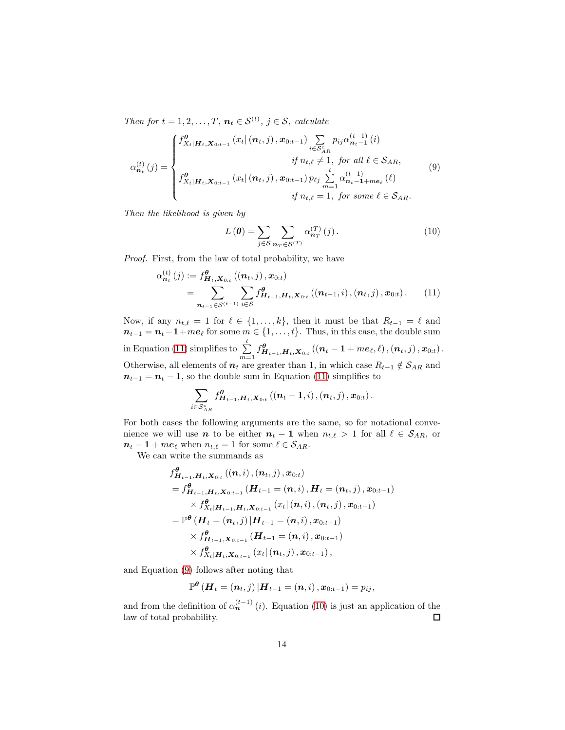Then for  $t = 1, 2, ..., T$ ,  $n_t \in S^{(t)}$ ,  $j \in S$ , calculate

$$
\alpha_{n_{t}}^{(t)}(j) = \begin{cases}\nf_{X_{t}|H_{t}, X_{0:t-1}}^{0}(x_{t}|(n_{t}, j), x_{0:t-1}) \sum_{i \in S_{AR}^{c}} p_{ij} \alpha_{n_{t}-1}^{(t-1)}(i) \\
\qquad \qquad if n_{t,\ell} \neq 1, \text{ for all } \ell \in S_{AR}, \\
f_{X_{t}|H_{t}, X_{0:t-1}}^{0}(x_{t}|(n_{t}, j), x_{0:t-1}) p_{\ell j} \sum_{m=1}^{t} \alpha_{n_{t}-1 + m e_{\ell}}^{(t-1)}(\ell) \\
q_{i}^{0}(n_{t}, j) \leq \sum_{i=1}^{t} \alpha_{n_{t}-1 + m e_{\ell}}^{(t-1)}(\ell) \\
q_{i}^{0}(n_{t}, j) \leq \sum_{i=1}^{t} \alpha_{n_{t}-1 + m e_{\ell}}^{(t-1)}(\ell) \\
\qquad \qquad if n_{t,\ell} = 1, \text{ for some } \ell \in S_{AR}.\n\end{cases} (9)
$$

Then the likelihood is given by

<span id="page-13-2"></span><span id="page-13-1"></span><span id="page-13-0"></span>
$$
L(\boldsymbol{\theta}) = \sum_{j \in \mathcal{S}} \sum_{\boldsymbol{n}_T \in \mathcal{S}^{(T)}} \alpha_{\boldsymbol{n}_T}^{(T)}(j). \tag{10}
$$

Proof. First, from the law of total probability, we have

$$
\alpha_{n_t}^{(t)}(j) := f_{\mathbf{H}_t, \mathbf{X}_{0:t}}^{\theta} ((n_t, j), \mathbf{x}_{0:t})
$$
  
= 
$$
\sum_{n_{t-1} \in S^{(t-1)}} \sum_{i \in S} f_{\mathbf{H}_{t-1}, \mathbf{H}_t, \mathbf{X}_{0:t}}^{\theta} ((n_{t-1}, i), (n_t, j), \mathbf{x}_{0:t}).
$$
 (11)

Now, if any  $n_{t,\ell} = 1$  for  $\ell \in \{1,\ldots,k\}$ , then it must be that  $R_{t-1} = \ell$  and  $n_{t-1} = n_t - 1 + me_\ell$  for some  $m \in \{1, ..., t\}$ . Thus, in this case, the double sum  $\text{in Equation (11) simplifies to } \sum_{m=1}^t f_{\boldsymbol{H}_{t-1},\boldsymbol{H}_t,\boldsymbol{X}_{0:t}}^{\boldsymbol{\theta}}\left(\left(\boldsymbol{n}_t-\boldsymbol{1}+m\boldsymbol{e}_\ell,\ell\right),\left(\boldsymbol{n}_t,j\right),\boldsymbol{x}_{0:t}\right).$  $\text{in Equation (11) simplifies to } \sum_{m=1}^t f_{\boldsymbol{H}_{t-1},\boldsymbol{H}_t,\boldsymbol{X}_{0:t}}^{\boldsymbol{\theta}}\left(\left(\boldsymbol{n}_t-\boldsymbol{1}+m\boldsymbol{e}_\ell,\ell\right),\left(\boldsymbol{n}_t,j\right),\boldsymbol{x}_{0:t}\right).$  $\text{in Equation (11) simplifies to } \sum_{m=1}^t f_{\boldsymbol{H}_{t-1},\boldsymbol{H}_t,\boldsymbol{X}_{0:t}}^{\boldsymbol{\theta}}\left(\left(\boldsymbol{n}_t-\boldsymbol{1}+m\boldsymbol{e}_\ell,\ell\right),\left(\boldsymbol{n}_t,j\right),\boldsymbol{x}_{0:t}\right).$ Otherwise, all elements of  $n_t$  are greater than 1, in which case  $R_{t-1} \notin S_{AR}$  and  $n_{t-1} = n_t - 1$ , so the double sum in Equation [\(11\)](#page-13-0) simplifies to

$$
\sum_{i \in \mathcal{S}_{AR}^c} f_{\boldsymbol{H}_{t-1},\boldsymbol{H}_t, \boldsymbol{X}_{0:t}}^{\boldsymbol{\theta}}\left(\left(\boldsymbol{n}_t-1,i\right),\left(\boldsymbol{n}_t,j\right),\boldsymbol{x}_{0:t}\right).
$$

For both cases the following arguments are the same, so for notational convenience we will use *n* to be either  $n_t - 1$  when  $n_{t,\ell} > 1$  for all  $\ell \in S_{AR}$ , or  $n_t - 1 + me_\ell$  when  $n_{t,\ell} = 1$  for some  $\ell \in S_{AR}$ .

We can write the summands as

$$
f^{\theta}_{\boldsymbol{H}_{t-1},\boldsymbol{H}_t,\boldsymbol{X}_{0:t}}((\boldsymbol{n},i),(\boldsymbol{n}_t,j),\boldsymbol{x}_{0:t})
$$
\n
$$
= f^{\theta}_{\boldsymbol{H}_{t-1},\boldsymbol{H}_t,\boldsymbol{X}_{0:t-1}}(\boldsymbol{H}_{t-1}=(\boldsymbol{n},i),\boldsymbol{H}_t=(\boldsymbol{n}_t,j),\boldsymbol{x}_{0:t-1})
$$
\n
$$
\times f^{\theta}_{X_t|\boldsymbol{H}_{t-1},\boldsymbol{H}_t,\boldsymbol{X}_{0:t-1}}(x_t|(\boldsymbol{n},i),(\boldsymbol{n}_t,j),\boldsymbol{x}_{0:t-1})
$$
\n
$$
= \mathbb{P}^{\theta}(\boldsymbol{H}_t=(\boldsymbol{n}_t,j)|\boldsymbol{H}_{t-1}=(\boldsymbol{n},i),\boldsymbol{x}_{0:t-1})
$$
\n
$$
\times f^{\theta}_{\boldsymbol{H}_{t-1},\boldsymbol{X}_{0:t-1}}(\boldsymbol{H}_{t-1}=(\boldsymbol{n},i),\boldsymbol{x}_{0:t-1})
$$
\n
$$
\times f^{\theta}_{X_t|\boldsymbol{H}_t,\boldsymbol{X}_{0:t-1}}(x_t|(\boldsymbol{n}_t,j),\boldsymbol{x}_{0:t-1}),
$$

and Equation [\(9\)](#page-13-1) follows after noting that

$$
\mathbb{P}^{\boldsymbol{\theta}}\left(\boldsymbol{H}_{t}=\left(\boldsymbol{n}_{t}, j\right) | \boldsymbol{H}_{t-1}=\left(\boldsymbol{n}, i\right), \boldsymbol{x}_{0:t-1}\right)=p_{ij},
$$

and from the definition of  $\alpha_n^{(t-1)}(i)$ . Equation [\(10\)](#page-13-2) is just an application of the law of total probability.  $\Box$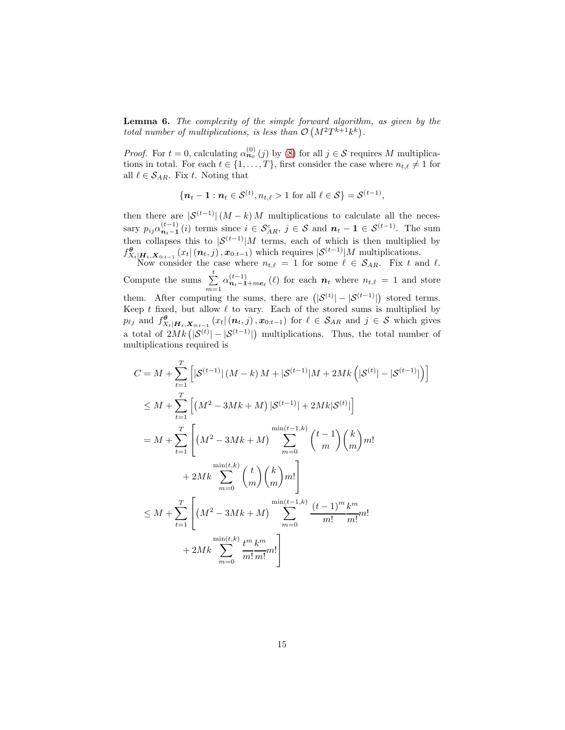<span id="page-14-0"></span>Lemma 6. The complexity of the simple forward algorithm, as given by the total number of multiplications, is less than  $\mathcal{O}(M^2T^{k+1}k^k)$ .

*Proof.* For  $t = 0$ , calculating  $\alpha_{n_0}^{(0)}(j)$  by [\(8\)](#page-12-1) for all  $j \in S$  requires M multiplications in total. For each  $t \in \{1, \ldots, T\}$ , first consider the case where  $n_{t,\ell} \neq 1$  for all  $\ell \in \mathcal{S}_{AR}$ . Fix t. Noting that

$$
\{\boldsymbol{n}_t - \mathbf{1} : \boldsymbol{n}_t \in \mathcal{S}^{(t)}, n_{t,\ell} > 1 \text{ for all } \ell \in \mathcal{S}\} = \mathcal{S}^{(t-1)},
$$

then there are  $|S^{(t-1)}|(M-k)M$  multiplications to calculate all the necessary  $p_{ij}\alpha_{n_t-1}^{(t-1)}(i)$  terms since  $i \in S_{AR}^c$ ,  $j \in S$  and  $n_t-1 \in S^{(t-1)}$ . The sum then collapses this to  $|S^{(t-1)}|$  terms, each of which is then multiplied by  $f^{\theta}_{X_t|\boldsymbol{H}_t,\boldsymbol{X}_{0:t-1}}(x_t | (\boldsymbol{n}_t, j), \boldsymbol{x}_{0:t-1})$  which requires  $|S^{(t-1)}|M$  multiplications.

Now consider the case where  $n_{t,\ell} = 1$  for some  $\ell \in S_{AR}$ . Fix t and  $\ell$ . Compute the sums  $\sum_{m=1}^{t} \alpha_{n_t-1+me_{\ell}}^{(t-1)}(\ell)$  for each  $n_t$  where  $n_{t,\ell} = 1$  and store them. After computing the sums, there are  $(|S^{(t)}| - |S^{(t-1)}|)$  stored terms. Keep t fixed, but allow  $\ell$  to vary. Each of the stored sums is multiplied by  $p_{\ell j}$  and  $f_{X_t|\boldsymbol{H}_t,\boldsymbol{X}_{0:t-1}}^{\boldsymbol{\theta}}(x_t|(n_t,j), x_{0:t-1})$  for  $\ell \in S_{AR}$  and  $j \in S$  which gives a total of  $2Mk(|\mathcal{S}^{(t)}| - |\mathcal{S}^{(t-1)}|)$  multiplications. Thus, the total number of multiplications required is

$$
C = M + \sum_{t=1}^{T} \left[ |S^{(t-1)}| (M-k) M + |S^{(t-1)}| M + 2Mk (|S^{(t)}| - |S^{(t-1)}|) \right]
$$
  
\n
$$
\leq M + \sum_{t=1}^{T} \left[ (M^2 - 3Mk + M) |S^{(t-1)}| + 2Mk|S^{(t)}| \right]
$$
  
\n
$$
= M + \sum_{t=1}^{T} \left[ (M^2 - 3Mk + M) \sum_{m=0}^{\min(t-1,k)} {t-1 \choose m} {k \choose m} m! + 2Mk \sum_{m=0}^{\min(t,k)} {t \choose m} {m \choose m} m! \right]
$$
  
\n
$$
\leq M + \sum_{t=1}^{T} \left[ (M^2 - 3Mk + M) \sum_{m=0}^{\min(t-1,k)} \frac{(t-1)^m k^m}{m! m!} m! + 2Mk \sum_{m=0}^{\min(t,k)} \frac{t^m k^m}{m! m!} m! \right]
$$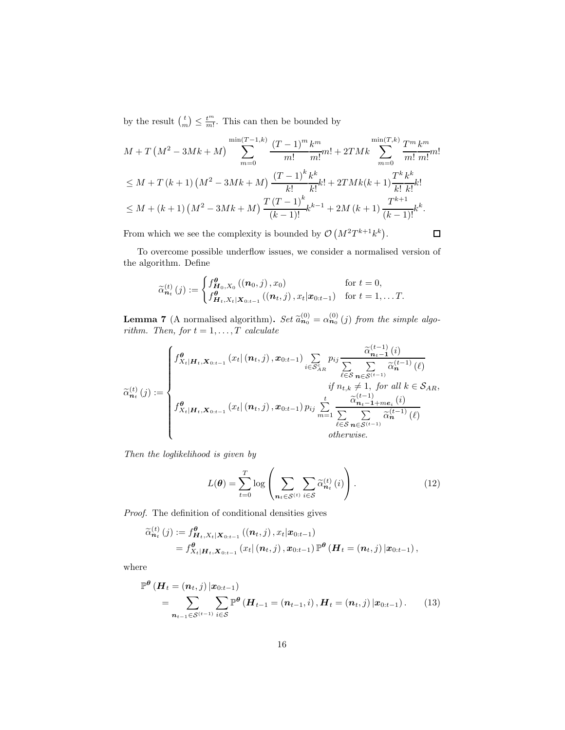by the result  $\binom{t}{m} \leq \frac{t^m}{m!}$ . This can then be bounded by

$$
M + T\left(M^2 - 3Mk + M\right) \sum_{m=0}^{\min(T-1,k)} \frac{(T-1)^m k^m}{m!} m! + 2TMk \sum_{m=0}^{\min(T,k)} \frac{T^m k^m}{m!} m!
$$
  
\n
$$
\leq M + T(k+1)\left(M^2 - 3Mk + M\right) \frac{(T-1)^k k^k}{k!} k! + 2TMk(k+1) \frac{T^k k^k}{k!} k!
$$
  
\n
$$
\leq M + (k+1)\left(M^2 - 3Mk + M\right) \frac{T(T-1)^k}{(k-1)!} k^{k-1} + 2M(k+1) \frac{T^{k+1}}{(k-1)!} k^k.
$$

From which we see the complexity is bounded by  $\mathcal{O}(M^2T^{k+1}k^k)$ .

 $\Box$ 

To overcome possible underflow issues, we consider a normalised version of the algorithm. Define

$$
\widetilde{\alpha}_{\mathbf{n}_t}^{(t)}(j) := \begin{cases}\nf_{\mathbf{H}_0, X_0}^{\theta}((\mathbf{n}_0, j), x_0) & \text{for } t = 0, \\
f_{\mathbf{H}_t, X_t|\mathbf{X}_{0:t-1}}^{\theta}((\mathbf{n}_t, j), x_t|\mathbf{x}_{0:t-1}) & \text{for } t = 1, \dots T.\n\end{cases}
$$

<span id="page-15-0"></span>**Lemma 7** (A normalised algorithm). Set  $\tilde{a}_{n_0}^{(0)} = \alpha_{n_0}^{(0)}(j)$  from the simple algorithm. rithm. Then, for  $t = 1, \ldots, T$  calculate

$$
\widetilde{\alpha}_{n_{t}}^{(t)}(j) := \begin{cases}\nf^{\theta}_{X_{t}|\mathbf{H}_{t},\mathbf{X}_{0:t-1}}(x_{t}|\left(\mathbf{n}_{t},j\right),x_{0:t-1})\sum_{i\in\mathcal{S}_{AR}^{c}}p_{ij}\frac{\widetilde{\alpha}_{n_{t}-1}^{(t-1)}(i)}{\sum_{\ell\in\mathcal{S}}\sum_{n\in\mathcal{S}^{(t-1)}}\widetilde{\alpha}_{n}^{(t-1)}(\ell)} \\
\vdots \\
f^{\theta}_{X_{t}|\mathbf{H}_{t},\mathbf{X}_{0:t-1}}(x_{t}|\left(\mathbf{n}_{t},j\right),x_{0:t-1})p_{ij}\sum_{m=1}^{t}\frac{\widetilde{\alpha}_{n_{t}-1+m_{e}}^{(t-1)}(i)}{\sum_{\ell\in\mathcal{S}}\sum_{n\in\mathcal{S}^{(t-1)}}\widetilde{\alpha}_{n}^{(t-1)}(\ell)} \\
\vdots \\
\text{otherwise.} \n\end{cases}
$$

Then the loglikelihood is given by

<span id="page-15-2"></span><span id="page-15-1"></span>
$$
L(\boldsymbol{\theta}) = \sum_{t=0}^{T} \log \left( \sum_{\boldsymbol{n}_t \in \mathcal{S}^{(t)}} \sum_{i \in \mathcal{S}} \widetilde{\alpha}_{\boldsymbol{n}_t}^{(t)}(i) \right).
$$
 (12)

Proof. The definition of conditional densities gives

$$
\widetilde{\alpha}_{\mathbf{n}_t}^{(t)}(j) := f_{\mathbf{H}_t, X_t | \mathbf{X}_{0:t-1}}^{\theta} ((\mathbf{n}_t, j), x_t | \mathbf{x}_{0:t-1}) \n= f_{X_t | \mathbf{H}_t, \mathbf{X}_{0:t-1}}^{\theta} (x_t | (\mathbf{n}_t, j), \mathbf{x}_{0:t-1}) \mathbb{P}^{\theta} (\mathbf{H}_t = (\mathbf{n}_t, j) | \mathbf{x}_{0:t-1}),
$$

where

$$
\mathbb{P}^{\theta} \left( \mathbf{H}_{t} = (\mathbf{n}_{t}, j) | \mathbf{x}_{0:t-1} \right) \n= \sum_{\mathbf{n}_{t-1} \in \mathcal{S}^{(t-1)}} \sum_{i \in \mathcal{S}} \mathbb{P}^{\theta} \left( \mathbf{H}_{t-1} = (\mathbf{n}_{t-1}, i), \mathbf{H}_{t} = (\mathbf{n}_{t}, j) | \mathbf{x}_{0:t-1} \right).
$$
\n(13)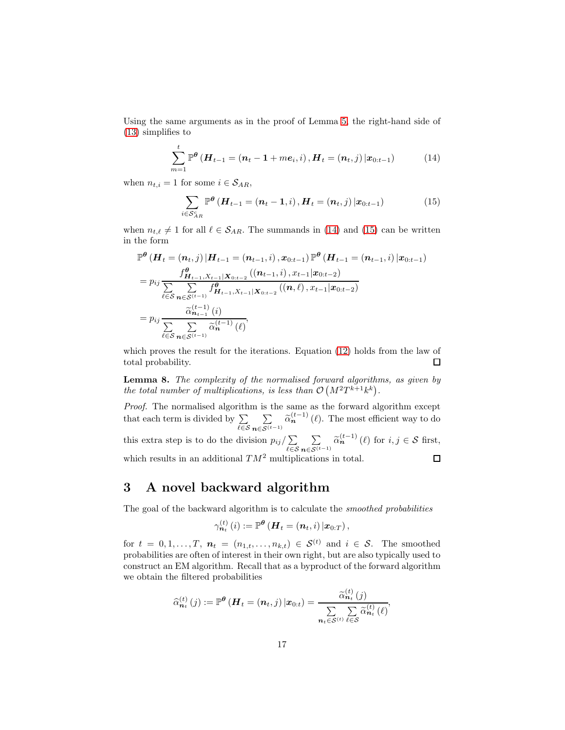Using the same arguments as in the proof of Lemma [5,](#page-12-0) the right-hand side of [\(13\)](#page-15-1) simplifies to

$$
\sum_{m=1}^{t} \mathbb{P}^{\theta} \left( \boldsymbol{H}_{t-1} = (\boldsymbol{n}_{t} - 1 + m \boldsymbol{e}_{i}, i), \boldsymbol{H}_{t} = (\boldsymbol{n}_{t}, j) | \boldsymbol{x}_{0:t-1} \right) \tag{14}
$$

when  $n_{t,i} = 1$  for some  $i \in S_{AR}$ ,

<span id="page-16-2"></span><span id="page-16-1"></span>
$$
\sum_{i \in S_{AR}^c} \mathbb{P}^{\theta} \left( \bm{H}_{t-1} = (\bm{n}_t - \bm{1}, i), \bm{H}_t = (\bm{n}_t, j) \, | \bm{x}_{0:t-1} \right) \tag{15}
$$

when  $n_{t,\ell} \neq 1$  for all  $\ell \in S_{AR}$ . The summands in [\(14\)](#page-16-1) and [\(15\)](#page-16-2) can be written in the form

$$
\mathbb{P}^{\theta}\left(\boldsymbol{H}_{t}=(n_{t},j)\left|\boldsymbol{H}_{t-1}=(n_{t-1},i),x_{0:t-1}\right|\mathbb{P}^{\theta}\left(\boldsymbol{H}_{t-1}=(n_{t-1},i)\left|x_{0:t-1}\right.\right) \n= p_{ij} \frac{f_{\boldsymbol{H}_{t-1},X_{t-1}|\boldsymbol{X}_{0:t-2}}^{2}\left((n_{t-1},i),x_{t-1}|x_{0:t-2}\right)}{\sum\limits_{\ell \in S} \sum\limits_{n \in S^{(t-1)}} f_{\boldsymbol{H}_{t-1},X_{t-1}|\boldsymbol{X}_{0:t-2}}^{2}\left((n,\ell),x_{t-1}|x_{0:t-2}\right)} \n= p_{ij} \frac{\widetilde{\alpha}_{n_{t-1}}^{(t-1)}(i)}{\sum\limits_{\ell \in S} \sum\limits_{n \in S^{(t-1)}} \widetilde{\alpha}_{n}^{(t-1)}(\ell)},
$$

which proves the result for the iterations. Equation [\(12\)](#page-15-2) holds from the law of total probability.  $\Box$ 

Lemma 8. The complexity of the normalised forward algorithms, as given by the total number of multiplications, is less than  $\mathcal{O}(M^2T^{k+1}k^k)$ .

Proof. The normalised algorithm is the same as the forward algorithm except that each term is divided by  $\sum$  $\sum_{n\in\mathcal{S}^{(t-1)}} \widetilde{\alpha}_n^{(t-1)}(\ell)$ . The most efficient way to do  $\sum$ ℓ∈S  $\sum_{\mathbf{n}\in\mathcal{S}^{(t-1)}} \widetilde{\alpha}_{\mathbf{n}}^{(t-1)}(\ell)$  for  $i, j \in \mathcal{S}$  first, this extra step is to do the division  $p_{ij}/\sum$  $\sum$ ℓ∈S which results in an additional  $TM^2$  multiplications in total.  $\Box$ 

### <span id="page-16-0"></span>3 A novel backward algorithm

The goal of the backward algorithm is to calculate the smoothed probabilities

$$
\gamma_{\boldsymbol{n}_{t}}^{(t)}\left(i\right):=\mathbb{P}^{\boldsymbol{\theta}}\left(\boldsymbol{H}_{t}=\left(\boldsymbol{n}_{t},i\right)\vert\boldsymbol{x}_{0:T}\right),
$$

for  $t = 0, 1, \ldots, T$ ,  $n_t = (n_{1,t}, \ldots, n_{k,t}) \in S^{(t)}$  and  $i \in S$ . The smoothed probabilities are often of interest in their own right, but are also typically used to construct an EM algorithm. Recall that as a byproduct of the forward algorithm we obtain the filtered probabilities

$$
\widehat{\alpha}_{\boldsymbol{n}_t}^{(t)}\left(j\right):=\mathbb{P}^{\boldsymbol{\theta}}\left(\boldsymbol{H}_t=\left(\boldsymbol{n}_t,j\right)\vert \boldsymbol{x}_{0:t}\right)=\frac{\widetilde{\alpha}_{\boldsymbol{n}_t}^{(t)}\left(j\right)}{\sum\limits_{\boldsymbol{n}_t\in\mathcal{S}^{(t)}}\sum\limits_{\ell\in\mathcal{S}}\widetilde{\alpha}_{\boldsymbol{n}_t}^{(t)}\left(\ell\right)},
$$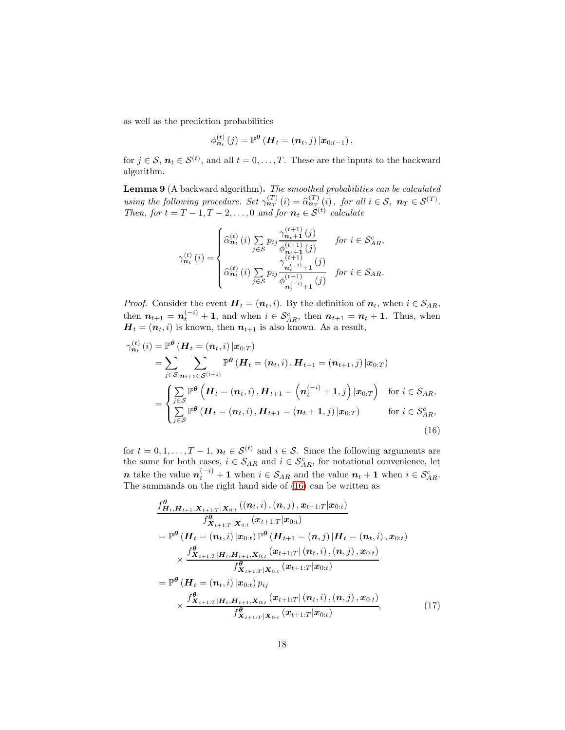as well as the prediction probabilities

$$
\phi_{\boldsymbol{n}_{t}}^{(t)}\left(j\right)=\mathbb{P}^{\boldsymbol{\theta}}\left(\boldsymbol{H}_{t}=\left(\boldsymbol{n}_{t},j\right)\vert\boldsymbol{x}_{0:t-1}\right),\,
$$

for  $j \in S$ ,  $n_t \in S^{(t)}$ , and all  $t = 0, \ldots, T$ . These are the inputs to the backward algorithm.

<span id="page-17-2"></span>**Lemma 9** (A backward algorithm). The smoothed probabilities can be calculated using the following procedure. Set  $\gamma_{nT}^{(T)}(i) = \hat{\alpha}_{nT}^{(T)}(i)$ , for all  $i \in S$ ,  $n_T \in S^{(T)}$ . Then, for  $t = T - 1, T - 2, ..., 0$  and for  $n_t \in S^{(t)}$  calculate

$$
\gamma_{n_{t}}^{(t)}(i) = \begin{cases}\n\widehat{\alpha}_{n_{t}}^{(t)}(i) \sum_{j \in S} p_{ij} \frac{\gamma_{n_{t}+1}^{(t+1)}(j)}{\phi_{n_{t}+1}^{(t+1)}(j)} & \text{for } i \in S_{AR}^{c}, \\
\widehat{\alpha}_{n_{t}}^{(t)}(i) \sum_{j \in S} p_{ij} \frac{\gamma_{n_{t}^{(-i)}+1}^{(t+1)}(j)}{\phi_{n_{t}^{(-i)}+1}^{(t+1)}(j)} & \text{for } i \in S_{AR}.\n\end{cases}
$$

*Proof.* Consider the event  $\boldsymbol{H}_t = (\boldsymbol{n}_t, i)$ . By the definition of  $\boldsymbol{n}_t$ , when  $i \in \mathcal{S}_{AR}$ , then  $n_{t+1} = n_t^{(-i)} + 1$ , and when  $i \in S_{AR}^c$ , then  $n_{t+1} = n_t + 1$ . Thus, when  $H_t = (n_t, i)$  is known, then  $n_{t+1}$  is also known. As a result,

$$
\gamma_{n_t}^{(t)}(i) = \mathbb{P}^{\theta} \left( \boldsymbol{H}_t = (\boldsymbol{n}_t, i) | \boldsymbol{x}_{0:T} \right)
$$
  
\n
$$
= \sum_{j \in S} \sum_{n_{t+1} \in S^{(t+1)}} \mathbb{P}^{\theta} \left( \boldsymbol{H}_t = (\boldsymbol{n}_t, i), \boldsymbol{H}_{t+1} = (\boldsymbol{n}_{t+1}, j) | \boldsymbol{x}_{0:T} \right)
$$
  
\n
$$
= \begin{cases} \sum_{j \in S} \mathbb{P}^{\theta} \left( \boldsymbol{H}_t = (\boldsymbol{n}_t, i), \boldsymbol{H}_{t+1} = (\boldsymbol{n}_t^{(-i)} + 1, j) | \boldsymbol{x}_{0:T} \right) & \text{for } i \in S_{AR}, \\ \sum_{j \in S} \mathbb{P}^{\theta} \left( \boldsymbol{H}_t = (\boldsymbol{n}_t, i), \boldsymbol{H}_{t+1} = (\boldsymbol{n}_t + 1, j) | \boldsymbol{x}_{0:T} \right) & \text{for } i \in S_{AR}^c, \end{cases}
$$
  
\n(16)

for  $t = 0, 1, \ldots, T - 1$ ,  $n_t \in S^{(t)}$  and  $i \in S$ . Since the following arguments are the same for both cases,  $i \in S_{AR}$  and  $i \in S_{AR}^c$ , for notational convenience, let **n** take the value  $n_t^{(-i)} + 1$  when  $i \in S_{AR}$  and the value  $n_t + 1$  when  $i \in S_{AR}^c$ . The summands on the right hand side of [\(16\)](#page-17-0) can be written as

<span id="page-17-1"></span><span id="page-17-0"></span>
$$
\frac{f_{\boldsymbol{H}_t, \boldsymbol{H}_{t+1}, \boldsymbol{X}_{t+1:T} | \boldsymbol{X}_{0:t}} (\boldsymbol{n}_t, i), (\boldsymbol{n}, j), \boldsymbol{x}_{t+1:T} | \boldsymbol{x}_{0:t})}{f_{\boldsymbol{X}_{t+1:T} | \boldsymbol{X}_{0:t}} (\boldsymbol{x}_{t+1:T} | \boldsymbol{x}_{0:t})}
$$
\n
$$
= \mathbb{P}^{\theta} (\boldsymbol{H}_t = (\boldsymbol{n}_t, i) | \boldsymbol{x}_{0:t}) \mathbb{P}^{\theta} (\boldsymbol{H}_{t+1} = (\boldsymbol{n}, j) | \boldsymbol{H}_t = (\boldsymbol{n}_t, i), \boldsymbol{x}_{0:t})
$$
\n
$$
\times \frac{f_{\boldsymbol{X}_{t+1:T} | \boldsymbol{H}_t, \boldsymbol{H}_{t+1}, \boldsymbol{X}_{0:t}} (\boldsymbol{x}_{t+1:T} | (\boldsymbol{n}_t, i), (\boldsymbol{n}, j), \boldsymbol{x}_{0:t})}{f_{\boldsymbol{X}_{t+1:T} | \boldsymbol{X}_{0:t}}^{\theta} (\boldsymbol{x}_{t+1:T} | \boldsymbol{x}_{0:t})}
$$
\n
$$
= \mathbb{P}^{\theta} (\boldsymbol{H}_t = (\boldsymbol{n}_t, i) | \boldsymbol{x}_{0:t}) p_{ij}
$$
\n
$$
\times \frac{f_{\boldsymbol{X}_{t+1:T} | \boldsymbol{H}_t, \boldsymbol{H}_{t+1}, \boldsymbol{X}_{0:t}} (\boldsymbol{x}_{t+1:T} | (\boldsymbol{n}_t, i), (\boldsymbol{n}, j), \boldsymbol{x}_{0:t})}{f_{\boldsymbol{X}_{t+1:T} | \boldsymbol{X}_{0:t}}^{\theta} (\boldsymbol{x}_{t+1:T} | \boldsymbol{x}_{0:t})}, \qquad (17)
$$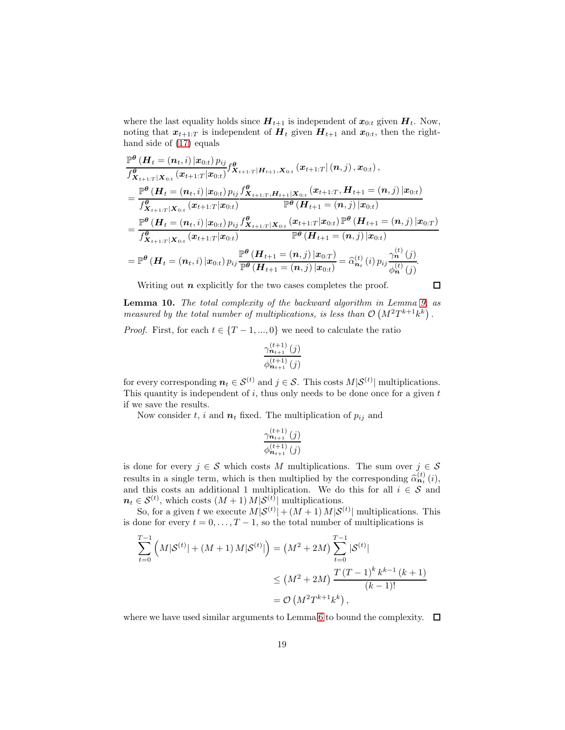where the last equality holds since  $H_{t+1}$  is independent of  $x_{0:t}$  given  $H_t$ . Now, noting that  $x_{t+1:T}$  is independent of  $H_t$  given  $H_{t+1}$  and  $x_{0:t}$ , then the righthand side of [\(17\)](#page-17-1) equals

$$
\frac{\mathbb{P}^{\theta} \left( \boldsymbol{H}_{t} = (\boldsymbol{n}_{t}, i) | \boldsymbol{x}_{0:t} \right) p_{ij}}{f_{\boldsymbol{X}_{t+1:T}|\boldsymbol{X}_{0:t}}^{\theta} (x_{t+1:T}|\boldsymbol{H}_{0:t})} f_{\boldsymbol{X}_{t+1:T}|\boldsymbol{H}_{t+1},\boldsymbol{X}_{0:t}}^{\theta} (\boldsymbol{x}_{t+1:T}|\boldsymbol{H}_{0:t}) , \newline \frac{\mathbb{P}^{\theta} \left( \boldsymbol{H}_{t} = (\boldsymbol{n}_{t}, i) | \boldsymbol{x}_{0:t} \right) p_{ij} f_{\boldsymbol{X}_{t+1:T},\boldsymbol{H}_{t+1}|\boldsymbol{X}_{0:t}}^{\theta} (\boldsymbol{x}_{t+1:T}, \boldsymbol{H}_{t+1} = (\boldsymbol{n}, j) | \boldsymbol{x}_{0:t})}{f_{\boldsymbol{X}_{t+1:T}|\boldsymbol{X}_{0:t}}^{\theta} (\boldsymbol{x}_{t+1:T}|\boldsymbol{x}_{0:t})} \frac{\mathbb{P}^{\theta} \left( \boldsymbol{H}_{t+1} = (\boldsymbol{n}, j) | \boldsymbol{x}_{0:t} \right)}{\mathbb{P}^{\theta} \left( \boldsymbol{H}_{t+1} = (\boldsymbol{n}, j) | \boldsymbol{x}_{0:t} \right)} \\
= \frac{\mathbb{P}^{\theta} \left( \boldsymbol{H}_{t} = (\boldsymbol{n}_{t}, i) | \boldsymbol{x}_{0:t} \right) p_{ij} f_{\boldsymbol{X}_{t+1:T}|\boldsymbol{X}_{0:t}}^{\theta} (\boldsymbol{x}_{t+1:T}|\boldsymbol{x}_{0:t}) \mathbb{P}^{\theta} \left( \boldsymbol{H}_{t+1} = (\boldsymbol{n}, j) | \boldsymbol{x}_{0:t} \right)}{\mathbb{P}^{\theta} \left( \boldsymbol{H}_{t+1} = (\boldsymbol{n}, j) | \boldsymbol{x}_{0:t} \right)} \\
= \mathbb{P}^{\theta} \left( \boldsymbol{H}_{t} = (\boldsymbol{n}_{t}, i) | \boldsymbol{x}_{0:t} \right) p_{ij} \frac{\mathbb{P}^{\theta} \left( \boldsymbol{H}_{t+1} = (\boldsymbol{n}, j) | \boldsymbol{x}_{0:T} \right)}{\mathbb{P}^{\theta} \left( \boldsymbol{H}_{t+1} = (\boldsymbol{n}, j) | \boldsymbol{x}_{0:t} \right)} = \hat{\alpha}_{\boldsymbol{n}_{t}}^{(t)}(i) p_{ij} \frac{\gamma_{\boldsymbol{n}}
$$

Writing out  $n$  explicitly for the two cases completes the proof.

 $\Box$ 

Lemma 10. The total complexity of the backward algorithm in Lemma [9,](#page-17-2) as measured by the total number of multiplications, is less than  $\mathcal{O}(M^2T^{k+1}k^k)$ .

*Proof.* First, for each  $t \in \{T-1, ..., 0\}$  we need to calculate the ratio

$$
\frac{\gamma_{\boldsymbol{n}_{t+1}}^{(t+1)}(j)}{\phi_{\boldsymbol{n}_{t+1}}^{(t+1)}(j)}
$$

for every corresponding  $n_t \in \mathcal{S}^{(t)}$  and  $j \in \mathcal{S}$ . This costs  $M|\mathcal{S}^{(t)}|$  multiplications. This quantity is independent of  $i$ , thus only needs to be done once for a given  $t$ if we save the results.

Now consider t, i and  $n_t$  fixed. The multiplication of  $p_{ij}$  and

$$
\frac{\gamma_{\boldsymbol{n}_{t+1}}^{(t+1)}(j)}{\phi_{\boldsymbol{n}_{t+1}}^{(t+1)}(j)}
$$

is done for every  $j \in \mathcal{S}$  which costs M multiplications. The sum over  $j \in \mathcal{S}$ results in a single term, which is then multiplied by the corresponding  $\hat{\alpha}_{tt}^{(t)}(i)$ , and this costs an additional 1 multiplication. We do this for all  $i \in \mathcal{S}$  and  $n_t \in \mathcal{S}^{(t)}$ , which costs  $(M+1) M|\mathcal{S}^{(t)}|$  multiplications.

So, for a given t we execute  $M|\mathcal{S}^{(t)}| + (M+1) M|\mathcal{S}^{(t)}|$  multiplications. This is done for every  $t = 0, \ldots, T-1$ , so the total number of multiplications is

$$
\sum_{t=0}^{T-1} \left( M|\mathcal{S}^{(t)}| + (M+1) M|\mathcal{S}^{(t)}| \right) = (M^2 + 2M) \sum_{t=0}^{T-1} |\mathcal{S}^{(t)}|
$$
  

$$
\leq (M^2 + 2M) \frac{T(T-1)^k k^{k-1} (k+1)}{(k-1)!}
$$
  

$$
= \mathcal{O}(M^2 T^{k+1} k^k),
$$

where we have used similar arguments to Lemma [6](#page-14-0) to bound the complexity.  $\Box$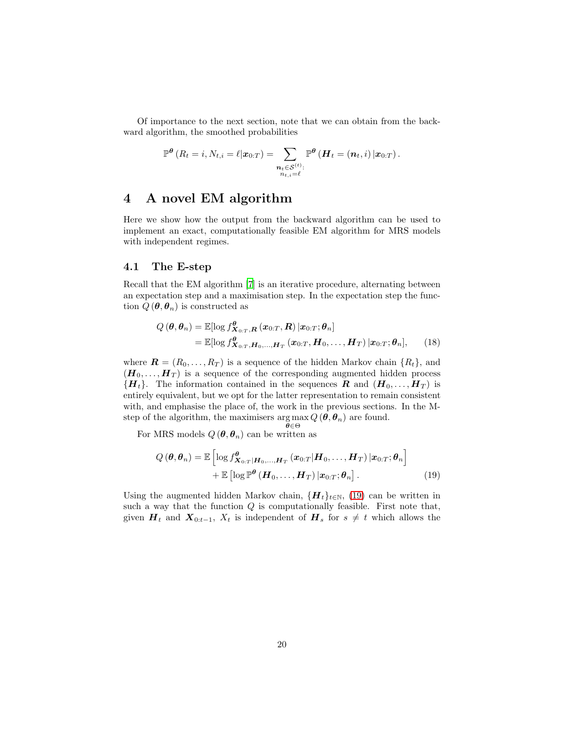Of importance to the next section, note that we can obtain from the backward algorithm, the smoothed probabilities

$$
\mathbb{P}^{\boldsymbol{\theta}}\left(R_{t}=i,N_{t,i}=\ell|\boldsymbol{x}_{0:T}\right)=\sum_{\substack{\boldsymbol{n}_{t}\in\mathcal{S}^{(t)}:\\n_{t,i}=\ell}}\mathbb{P}^{\boldsymbol{\theta}}\left(\boldsymbol{H}_{t}=\left(\boldsymbol{n}_{t},i\right)|\boldsymbol{x}_{0:T}\right).
$$

### <span id="page-19-0"></span>4 A novel EM algorithm

Here we show how the output from the backward algorithm can be used to implement an exact, computationally feasible EM algorithm for MRS models with independent regimes.

#### 4.1 The E-step

Recall that the EM algorithm [\[7](#page-36-6)] is an iterative procedure, alternating between an expectation step and a maximisation step. In the expectation step the function  $Q(\boldsymbol{\theta}, \boldsymbol{\theta}_n)$  is constructed as

$$
Q(\boldsymbol{\theta}, \boldsymbol{\theta}_n) = \mathbb{E}[\log f_{\boldsymbol{X}_{0:T}, \boldsymbol{R}}^{\boldsymbol{\theta}}(\boldsymbol{x}_{0:T}, \boldsymbol{R}) | \boldsymbol{x}_{0:T}; \boldsymbol{\theta}_n]
$$
  
=  $\mathbb{E}[\log f_{\boldsymbol{X}_{0:T}, \boldsymbol{H}_0, ..., \boldsymbol{H}_T}^{\boldsymbol{\theta}}(\boldsymbol{x}_{0:T}, \boldsymbol{H}_0, ..., \boldsymbol{H}_T) | \boldsymbol{x}_{0:T}; \boldsymbol{\theta}_n],$  (18)

where  $\mathbf{R} = (R_0, \ldots, R_T)$  is a sequence of the hidden Markov chain  $\{R_t\}$ , and  $(H_0, \ldots, H_T)$  is a sequence of the corresponding augmented hidden process  ${H_t}$ . The information contained in the sequences R and  $(H_0, \ldots, H_T)$  is entirely equivalent, but we opt for the latter representation to remain consistent with, and emphasise the place of, the work in the previous sections. In the Mstep of the algorithm, the maximisers  $\arg \max Q(\theta, \theta_n)$  are found. θ∈Θ

For MRS models  $Q(\theta, \theta_n)$  can be written as

<span id="page-19-1"></span>
$$
Q(\boldsymbol{\theta}, \boldsymbol{\theta}_n) = \mathbb{E}\left[\log f_{\boldsymbol{X}_{0:T}|\boldsymbol{H}_0,\ldots,\boldsymbol{H}_T}^{\boldsymbol{\theta}}(\boldsymbol{x}_{0:T}|\boldsymbol{H}_0,\ldots,\boldsymbol{H}_T)|\boldsymbol{x}_{0:T};\boldsymbol{\theta}_n\right] + \mathbb{E}\left[\log \mathbb{P}^{\boldsymbol{\theta}}(\boldsymbol{H}_0,\ldots,\boldsymbol{H}_T)|\boldsymbol{x}_{0:T};\boldsymbol{\theta}_n\right].
$$
\n(19)

Using the augmented hidden Markov chain,  $\{H_t\}_{t\in\mathbb{N}}$ , [\(19\)](#page-19-1) can be written in such a way that the function  $Q$  is computationally feasible. First note that, given  $H_t$  and  $X_{0:t-1}$ ,  $X_t$  is independent of  $H_s$  for  $s \neq t$  which allows the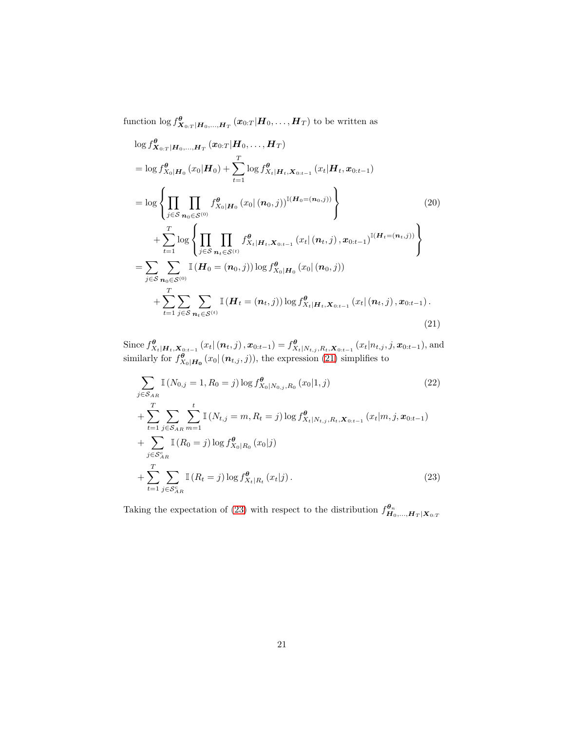function  $\log f_{\bm{X}_{0:T}|\bm{H}_0,...,\bm{H}_T}^{\bm{\theta}}(\bm{x}_{0:T}|\bm{H}_0,...,\bm{H}_T)$  to be written as

$$
\log f_{\mathbf{X}_{0:T}|\mathbf{H}_{0},..., \mathbf{H}_{T}}^{q}(\mathbf{x}_{0:T}|\mathbf{H}_{0},..., \mathbf{H}_{T})
$$
\n
$$
= \log f_{\mathbf{X}_{0}|\mathbf{H}_{0}}^{q}(\mathbf{x}_{0}|\mathbf{H}_{0}) + \sum_{t=1}^{T} \log f_{\mathbf{X}_{t}|\mathbf{H}_{t}, \mathbf{X}_{0:t-1}}^{q}(\mathbf{x}_{t}|\mathbf{H}_{t}, \mathbf{x}_{0:t-1})
$$
\n
$$
= \log \left\{\prod_{j \in S} \prod_{n_{0} \in S^{(0)}} f_{\mathbf{X}_{0}|\mathbf{H}_{0}}^{q}(\mathbf{x}_{0} | (n_{0},j))^{I(H_{0}=(n_{0},j))}\right\} + \sum_{t=1}^{T} \log \left\{\prod_{j \in S} \prod_{n_{t} \in S^{(t)}} f_{\mathbf{X}_{t}|\mathbf{H}_{t}, \mathbf{X}_{0:t-1}}^{q}(\mathbf{x}_{t} | (n_{t},j), \mathbf{x}_{0:t-1})^{I(H_{t}=(n_{t},j))}\right\}
$$
\n
$$
= \sum_{j \in S} \sum_{n_{0} \in S^{(0)}} I(H_{0} = (n_{0},j)) \log f_{\mathbf{X}_{0}|\mathbf{H}_{0}}^{q}(\mathbf{x}_{0} | (n_{0},j)) + \sum_{t=1}^{T} \sum_{j \in S} \sum_{n_{t} \in S^{(t)}} I(H_{t} = (n_{t},j)) \log f_{\mathbf{X}_{t}|\mathbf{H}_{t}, \mathbf{X}_{0:t-1}}^{q}(\mathbf{x}_{t} | (n_{t},j), \mathbf{x}_{0:t-1}).
$$
\n(21)

Since  $f_{X_t|\boldsymbol{H}_t,\boldsymbol{X}_{0:t-1}}^{\boldsymbol{\theta}}(x_t|(n_t,j),\boldsymbol{x}_{0:t-1}) = f_{X_t|N_{t,j},R_t,\boldsymbol{X}_{0:t-1}}^{\boldsymbol{\theta}}(x_t|n_{t,j},j,\boldsymbol{x}_{0:t-1}),$  and similarly for  $f_{X_0|\mathbf{H_0}}^{\theta}(x_0 | (\boldsymbol{n}_{t,j}, j))$ , the expression [\(21\)](#page-20-0) simplifies to

<span id="page-20-0"></span>
$$
\sum_{j \in S_{AR}} \mathbb{I}\left(N_{0,j} = 1, R_0 = j\right) \log f_{X_0|N_{0,j}, R_0}^{\theta}\left(x_0|1, j\right) \tag{22}
$$
\n
$$
+ \sum_{t=1}^{T} \sum_{j \in S_{AR}} \sum_{m=1}^{t} \mathbb{I}\left(N_{t,j} = m, R_t = j\right) \log f_{X_t|N_{t,j}, R_t, \mathbf{X}_{0:t-1}}^{\theta}\left(x_t|m, j, \mathbf{x}_{0:t-1}\right) \tag{23}
$$
\n
$$
+ \sum_{t=1}^{T} \mathbb{I}\left(R_0 = j\right) \log f_{X_0|R_0}^{\theta}\left(x_0|j\right) \tag{23}
$$

<span id="page-20-1"></span>Taking the expectation of [\(23\)](#page-20-1) with respect to the distribution  $f^{\theta_n}_{H_0,\dots,H_T|X_{0:T}}$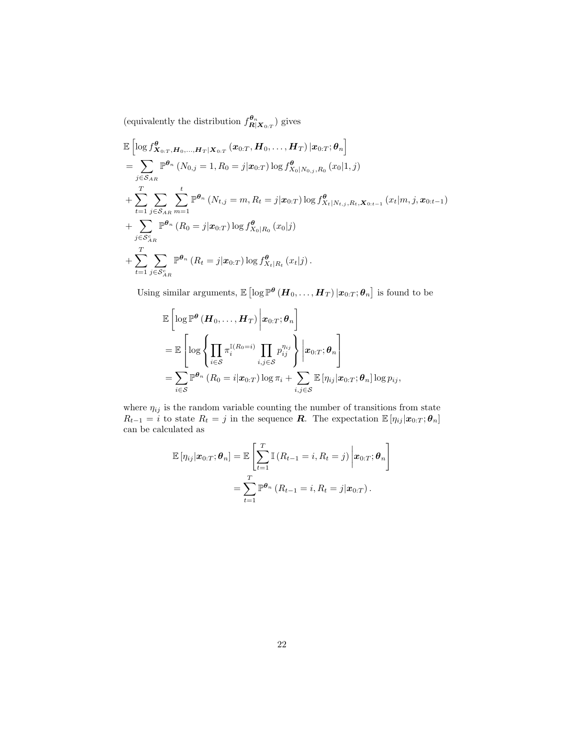(equivalently the distribution  $f^{\theta_n}_{\mathbf{R}|\mathbf{X}_{0:T}}$ ) gives

$$
\mathbb{E}\left[\log f_{\mathbf{X}_{0:T},\mathbf{H}_0,\ldots,\mathbf{H}_T|\mathbf{X}_{0:T}}^{\boldsymbol{\theta}}(\mathbf{x}_{0:T},\mathbf{H}_0,\ldots,\mathbf{H}_T)|\mathbf{x}_{0:T};\boldsymbol{\theta}_n\right] \n= \sum_{j\in S_{AR}} \mathbb{P}^{\boldsymbol{\theta}_n} (N_{0,j} = 1, R_0 = j|\mathbf{x}_{0:T}) \log f_{X_0|N_{0,j},R_0}^{\boldsymbol{\theta}}(x_0|1,j) \n+ \sum_{t=1}^T \sum_{j\in S_{AR}} \sum_{m=1}^t \mathbb{P}^{\boldsymbol{\theta}_n} (N_{t,j} = m, R_t = j|\mathbf{x}_{0:T}) \log f_{X_t|N_{t,j},R_t,\mathbf{X}_{0:t-1}}^{\boldsymbol{\theta}}(x_t|m,j,\mathbf{x}_{0:t-1}) \n+ \sum_{j\in S_{AR}^c} \mathbb{P}^{\boldsymbol{\theta}_n} (R_0 = j|\mathbf{x}_{0:T}) \log f_{X_0|R_0}^{\boldsymbol{\theta}}(x_0|j) \n+ \sum_{t=1}^T \sum_{j\in S_{AR}^c} \mathbb{P}^{\boldsymbol{\theta}_n} (R_t = j|\mathbf{x}_{0:T}) \log f_{X_t|R_t}^{\boldsymbol{\theta}}(x_t|j).
$$

Using similar arguments,  $\mathbb{E} \left[ \log \mathbb{P}^{\theta} \left( \bm{H}_0, \ldots, \bm{H}_T \right) | \bm{x}_{0:T}; \bm{\theta}_n \right]$  is found to be

$$
\mathbb{E}\left[\log \mathbb{P}^{\theta}\left(\boldsymbol{H}_{0}, \ldots, \boldsymbol{H}_{T}\right) \bigg| \boldsymbol{x}_{0:T}; \boldsymbol{\theta}_{n}\right] \n= \mathbb{E}\left[\log \left\{\prod_{i \in S} \pi_{i}^{\mathbb{I}(R_{0}=i)} \prod_{i,j \in S} p_{ij}^{n_{ij}}\right\} \bigg| \boldsymbol{x}_{0:T}; \boldsymbol{\theta}_{n}\right] \n= \sum_{i \in S} \mathbb{P}^{\boldsymbol{\theta}_{n}}\left(R_{0}=i | \boldsymbol{x}_{0:T}\right) \log \pi_{i} + \sum_{i,j \in S} \mathbb{E}\left[\eta_{ij} | \boldsymbol{x}_{0:T}; \boldsymbol{\theta}_{n}\right] \log p_{ij},
$$

where  $\eta_{ij}$  is the random variable counting the number of transitions from state  $R_{t-1} = i$  to state  $R_t = j$  in the sequence **R**. The expectation  $\mathbb{E}[\eta_{ij} | \mathbf{x}_{0:T}; \boldsymbol{\theta}_n]$ can be calculated as

$$
\mathbb{E}[\eta_{ij}|\boldsymbol{x}_{0:T};\boldsymbol{\theta}_n] = \mathbb{E}\left[\sum_{t=1}^T \mathbb{I}\left(R_{t-1}=i, R_t=j\right) \middle| \boldsymbol{x}_{0:T};\boldsymbol{\theta}_n\right] \n= \sum_{t=1}^T \mathbb{P}^{\boldsymbol{\theta}_n}\left(R_{t-1}=i, R_t=j | \boldsymbol{x}_{0:T}\right).
$$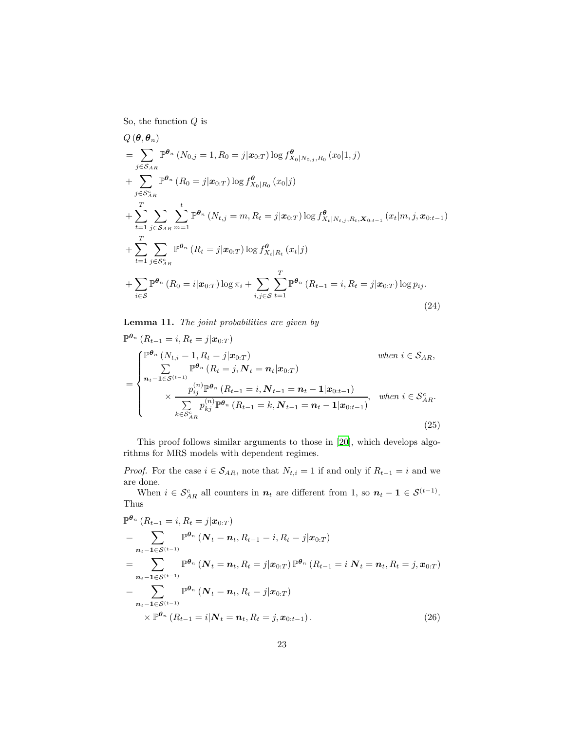So, the function  $Q$  is

$$
Q(\theta, \theta_n)
$$
  
=  $\sum_{j \in S_{AR}} \mathbb{P}^{\theta_n} (N_{0,j} = 1, R_0 = j | \mathbf{x}_{0:T}) \log f_{X_0|N_{0,j}, R_0}^{\theta} (x_0 | 1, j)$   
+  $\sum_{j \in S_{AR}} \mathbb{P}^{\theta_n} (R_0 = j | \mathbf{x}_{0:T}) \log f_{X_0|R_0}^{\theta} (x_0 | j)$   
+  $\sum_{t=1}^{T} \sum_{j \in S_{AR}} \sum_{m=1}^{t} \mathbb{P}^{\theta_n} (N_{t,j} = m, R_t = j | \mathbf{x}_{0:T}) \log f_{X_t|N_{t,j}, R_t, \mathbf{X}_{0:t-1}}^{\theta} (x_t | m, j, \mathbf{x}_{0:t-1})$   
+  $\sum_{t=1}^{T} \sum_{j \in S_{AR}^c} \mathbb{P}^{\theta_n} (R_t = j | \mathbf{x}_{0:T}) \log f_{X_t|R_t}^{\theta} (x_t | j)$   
+  $\sum_{i \in S} \mathbb{P}^{\theta_n} (R_0 = i | \mathbf{x}_{0:T}) \log \pi_i + \sum_{i,j \in S} \sum_{t=1}^{T} \mathbb{P}^{\theta_n} (R_{t-1} = i, R_t = j | \mathbf{x}_{0:T}) \log p_{ij}.$  (24)

Lemma 11. The joint probabilities are given by

<span id="page-22-1"></span>
$$
\mathbb{P}^{\theta_n} (R_{t-1} = i, R_t = j | \mathbf{x}_{0:T})
$$
\n
$$
= \begin{cases}\n\mathbb{P}^{\theta_n} (N_{t,i} = 1, R_t = j | \mathbf{x}_{0:T}) & \text{when } i \in S_{AR}, \\
\sum_{n_t-1 \in S^{(t-1)}} \mathbb{P}^{\theta_n} (R_t = j, N_t = n_t | \mathbf{x}_{0:T}) & \text{when } i \in S_{AR}, \\
\times \frac{p_{ij}^{(n)} \mathbb{P}^{\theta_n} (R_{t-1} = i, N_{t-1} = n_t - 1 | \mathbf{x}_{0:t-1})}{\sum_{k \in S_{AR}^c} p_{kj}^{(n)} \mathbb{P}^{\theta_n} (R_{t-1} = k, N_{t-1} = n_t - 1 | \mathbf{x}_{0:t-1})}, & \text{when } i \in S_{AR}^c.\n\end{cases}
$$
\n(25)

This proof follows similar arguments to those in [\[20\]](#page-37-8), which develops algorithms for MRS models with dependent regimes.

*Proof.* For the case  $i \in S_{AR}$ , note that  $N_{t,i} = 1$  if and only if  $R_{t-1} = i$  and we are done.

When  $i \in S_{AR}^c$  all counters in  $n_t$  are different from 1, so  $n_t - 1 \in S^{(t-1)}$ . Thus

<span id="page-22-0"></span>
$$
\mathbb{P}^{\theta_n} (R_{t-1} = i, R_t = j | \mathbf{x}_{0:T})
$$
\n
$$
= \sum_{\mathbf{n}_t - 1 \in S^{(t-1)}} \mathbb{P}^{\theta_n} (N_t = \mathbf{n}_t, R_{t-1} = i, R_t = j | \mathbf{x}_{0:T})
$$
\n
$$
= \sum_{\mathbf{n}_t - 1 \in S^{(t-1)}} \mathbb{P}^{\theta_n} (N_t = \mathbf{n}_t, R_t = j | \mathbf{x}_{0:T}) \mathbb{P}^{\theta_n} (R_{t-1} = i | N_t = \mathbf{n}_t, R_t = j, \mathbf{x}_{0:T})
$$
\n
$$
= \sum_{\mathbf{n}_t - 1 \in S^{(t-1)}} \mathbb{P}^{\theta_n} (N_t = \mathbf{n}_t, R_t = j | \mathbf{x}_{0:T})
$$
\n
$$
\times \mathbb{P}^{\theta_n} (R_{t-1} = i | N_t = \mathbf{n}_t, R_t = j, \mathbf{x}_{0:t-1}).
$$
\n(26)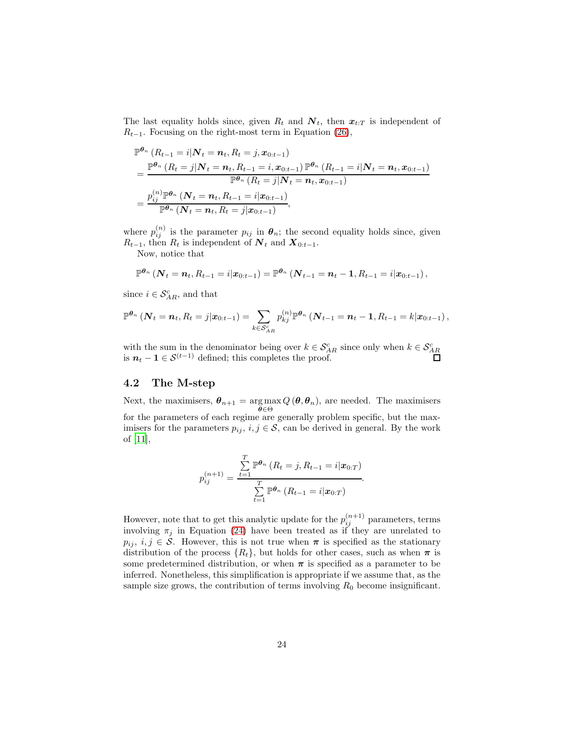The last equality holds since, given  $R_t$  and  $\mathbf{N}_t$ , then  $\mathbf{x}_{t:T}$  is independent of  $R_{t-1}$ . Focusing on the right-most term in Equation [\(26\)](#page-22-0),

$$
\mathbb{P}^{\theta_n} (R_{t-1} = i | \mathbf{N}_t = n_t, R_t = j, x_{0:t-1})
$$
\n
$$
= \frac{\mathbb{P}^{\theta_n} (R_t = j | \mathbf{N}_t = n_t, R_{t-1} = i, x_{0:t-1}) \mathbb{P}^{\theta_n} (R_{t-1} = i | \mathbf{N}_t = n_t, x_{0:t-1})}{\mathbb{P}^{\theta_n} (R_t = j | \mathbf{N}_t = n_t, x_{0:t-1})}
$$
\n
$$
= \frac{p_{ij}^{(n)} \mathbb{P}^{\theta_n} (N_t = n_t, R_{t-1} = i | x_{0:t-1})}{\mathbb{P}^{\theta_n} (N_t = n_t, R_t = j | x_{0:t-1})},
$$

where  $p_{ij}^{(n)}$  is the parameter  $p_{ij}$  in  $\boldsymbol{\theta}_n$ ; the second equality holds since, given  $R_{t-1}$ , then  $R_t$  is independent of  $N_t$  and  $X_{0:t-1}$ .

Now, notice that

$$
\mathbb{P}^{\theta_n}\left(\mathbf{N}_t=\mathbf{n}_t,R_{t-1}=i|\mathbf{x}_{0:t-1}\right)=\mathbb{P}^{\theta_n}\left(\mathbf{N}_{t-1}=\mathbf{n}_t-\mathbf{1},R_{t-1}=i|\mathbf{x}_{0:t-1}\right),
$$

since  $i \in \mathcal{S}_{AR}^c$ , and that

$$
\mathbb{P}^{\theta_n} \left( \mathbf{N}_t = \mathbf{n}_t, R_t = j | \mathbf{x}_{0:t-1} \right) = \sum_{k \in \mathcal{S}_{AR}^c} p_{kj}^{(n)} \mathbb{P}^{\theta_n} \left( \mathbf{N}_{t-1} = \mathbf{n}_t - \mathbf{1}, R_{t-1} = k | \mathbf{x}_{0:t-1} \right),
$$

with the sum in the denominator being over  $k \in S_{AR}^c$  since only when  $k \in S_{AR}^c$  is  $n_t - 1 \in S^{(t-1)}$  defined; this completes the proof.

#### 4.2 The M-step

Next, the maximisers,  $\theta_{n+1} = \argmax_{\theta \in \Theta} Q(\theta, \theta_n)$ , are needed. The maximisers for the parameters of each regime are generally problem specific, but the maximisers for the parameters  $p_{ij}$ ,  $i, j \in S$ , can be derived in general. By the work of [\[11\]](#page-37-7),

$$
p_{ij}^{(n+1)} = \frac{\sum_{t=1}^{T} \mathbb{P}^{\theta_n} (R_t = j, R_{t-1} = i | \mathbf{x}_{0:T})}{\sum_{t=1}^{T} \mathbb{P}^{\theta_n} (R_{t-1} = i | \mathbf{x}_{0:T})}.
$$

However, note that to get this analytic update for the  $p_{ij}^{(n+1)}$  parameters, terms involving  $\pi_j$  in Equation [\(24\)](#page-22-1) have been treated as if they are unrelated to  $p_{ij}, i, j \in S$ . However, this is not true when  $\pi$  is specified as the stationary distribution of the process  $\{R_t\}$ , but holds for other cases, such as when  $\pi$  is some predetermined distribution, or when  $\pi$  is specified as a parameter to be inferred. Nonetheless, this simplification is appropriate if we assume that, as the sample size grows, the contribution of terms involving  $R_0$  become insignificant.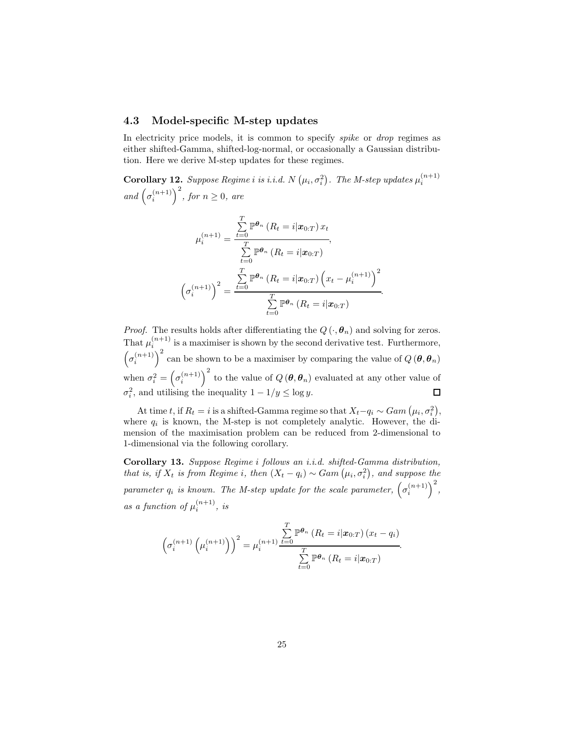#### <span id="page-24-2"></span>4.3 Model-specific M-step updates

In electricity price models, it is common to specify *spike* or *drop* regimes as either shifted-Gamma, shifted-log-normal, or occasionally a Gaussian distribution. Here we derive M-step updates for these regimes.

<span id="page-24-0"></span>**Corollary 12.** Suppose Regime i is i.i.d. N  $(\mu_i, \sigma_i^2)$ . The M-step updates  $\mu_i^{(n+1)}$ and  $(\sigma_i^{(n+1)})^2$ , for  $n \geq 0$ , are

$$
\mu_i^{(n+1)} = \frac{\sum\limits_{t=0}^T \mathbb{P}^{\theta_n} (R_t = i | \mathbf{x}_{0:T}) x_t}{\sum\limits_{t=0}^T \mathbb{P}^{\theta_n} (R_t = i | \mathbf{x}_{0:T})},
$$
\n
$$
\left(\sigma_i^{(n+1)}\right)^2 = \frac{\sum\limits_{t=0}^T \mathbb{P}^{\theta_n} (R_t = i | \mathbf{x}_{0:T}) \left(x_t - \mu_i^{(n+1)}\right)^2}{\sum\limits_{t=0}^T \mathbb{P}^{\theta_n} (R_t = i | \mathbf{x}_{0:T})}.
$$

*Proof.* The results holds after differentiating the  $Q(\cdot, \theta_n)$  and solving for zeros. That  $\mu_i^{(n+1)}$  is a maximiser is shown by the second derivative test. Furthermore,  $(\sigma_i^{(n+1)})^2$  can be shown to be a maximiser by comparing the value of  $Q(\theta, \theta_n)$ when  $\sigma_i^2 = \left(\sigma_i^{(n+1)}\right)^2$  to the value of  $Q(\theta, \theta_n)$  evaluated at any other value of  $\sigma_i^2$ , and utilising the inequality  $1 - 1/y \le \log y$ .  $\Box$ 

At time t, if  $R_t = i$  is a shifted-Gamma regime so that  $X_t - q_i \sim Gam(\mu_i, \sigma_i^2)$ , where  $q_i$  is known, the M-step is not completely analytic. However, the dimension of the maximisation problem can be reduced from 2-dimensional to 1-dimensional via the following corollary.

<span id="page-24-1"></span>Corollary 13. Suppose Regime i follows an i.i.d. shifted-Gamma distribution, that is, if  $X_t$  is from Regime i, then  $(X_t - q_i) \sim Gam(\mu_i, \sigma_i^2)$ , and suppose the parameter  $q_i$  is known. The M-step update for the scale parameter,  $(\sigma_i^{(n+1)})^2$ , as a function of  $\mu_i^{(n+1)}$ , is

$$
\left(\sigma_i^{(n+1)}\left(\mu_i^{(n+1)}\right)\right)^2 = \mu_i^{(n+1)}\frac{\sum\limits_{t=0}^T \mathbb{P}^{\theta_n}\left(R_t = i|\boldsymbol{x}_{0:T}\right)(x_t - q_i)}{\sum\limits_{t=0}^T \mathbb{P}^{\theta_n}\left(R_t = i|\boldsymbol{x}_{0:T}\right)}
$$

.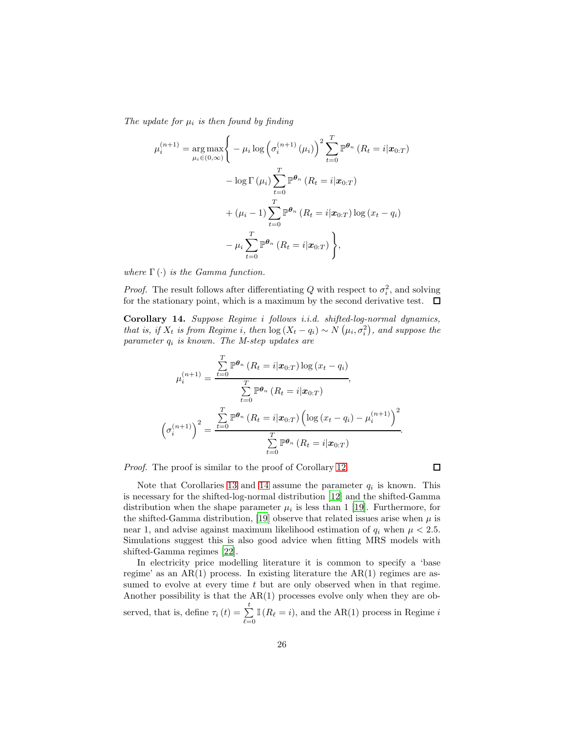The update for  $\mu_i$  is then found by finding

$$
\mu_i^{(n+1)} = \underset{\mu_i \in (0,\infty)}{\arg \max} \Bigg\{ -\mu_i \log \Big( \sigma_i^{(n+1)} \left( \mu_i \right) \Big)^2 \sum_{t=0}^T \mathbb{P}^{\theta_n} \left( R_t = i | \mathbf{x}_{0:T} \right) \n- \log \Gamma \left( \mu_i \right) \sum_{t=0}^T \mathbb{P}^{\theta_n} \left( R_t = i | \mathbf{x}_{0:T} \right) \n+ (\mu_i - 1) \sum_{t=0}^T \mathbb{P}^{\theta_n} \left( R_t = i | \mathbf{x}_{0:T} \right) \log \left( \mathbf{x}_t - q_i \right) \n- \mu_i \sum_{t=0}^T \mathbb{P}^{\theta_n} \left( R_t = i | \mathbf{x}_{0:T} \right) \Bigg\},
$$

where  $\Gamma(\cdot)$  is the Gamma function.

*Proof.* The result follows after differentiating Q with respect to  $\sigma_i^2$ , and solving for the stationary point, which is a maximum by the second derivative test.  $\Box$ 

<span id="page-25-0"></span>Corollary 14. Suppose Regime i follows i.i.d. shifted-log-normal dynamics, that is, if  $X_t$  is from Regime i, then  $\log(X_t - q_i) \sim N(\mu_i, \sigma_i^2)$ , and suppose the parameter  $q_i$  is known. The M-step updates are

$$
\mu_i^{(n+1)} = \frac{\sum\limits_{t=0}^T \mathbb{P}^{\theta_n} (R_t = i | \mathbf{x}_{0:T}) \log (x_t - q_i)}{\sum\limits_{t=0}^T \mathbb{P}^{\theta_n} (R_t = i | \mathbf{x}_{0:T})},
$$
\n
$$
\left(\sigma_i^{(n+1)}\right)^2 = \frac{\sum\limits_{t=0}^T \mathbb{P}^{\theta_n} (R_t = i | \mathbf{x}_{0:T}) \left(\log (x_t - q_i) - \mu_i^{(n+1)}\right)^2}{\sum\limits_{t=0}^T \mathbb{P}^{\theta_n} (R_t = i | \mathbf{x}_{0:T})}.
$$

Proof. The proof is similar to the proof of Corollary [12.](#page-24-0)

 $\Box$ 

Note that Corollaries [13](#page-24-1) and [14](#page-25-0) assume the parameter  $q_i$  is known. This is necessary for the shifted-log-normal distribution [\[12\]](#page-37-9) and the shifted-Gamma distribution when the shape parameter  $\mu_i$  is less than 1 [\[19](#page-37-10)]. Furthermore, for the shifted-Gamma distribution, [\[19](#page-37-10)] observe that related issues arise when  $\mu$  is near 1, and advise against maximum likelihood estimation of  $q_i$  when  $\mu < 2.5$ . Simulations suggest this is also good advice when fitting MRS models with shifted-Gamma regimes [\[22\]](#page-38-4).

In electricity price modelling literature it is common to specify a 'base regime' as an  $AR(1)$  process. In existing literature the  $AR(1)$  regimes are assumed to evolve at every time  $t$  but are only observed when in that regime. Another possibility is that the AR(1) processes evolve only when they are observed, that is, define  $\tau_i(t) = \sum_{\ell=0}^t \mathbb{I}(R_\ell = i)$ , and the AR(1) process in Regime i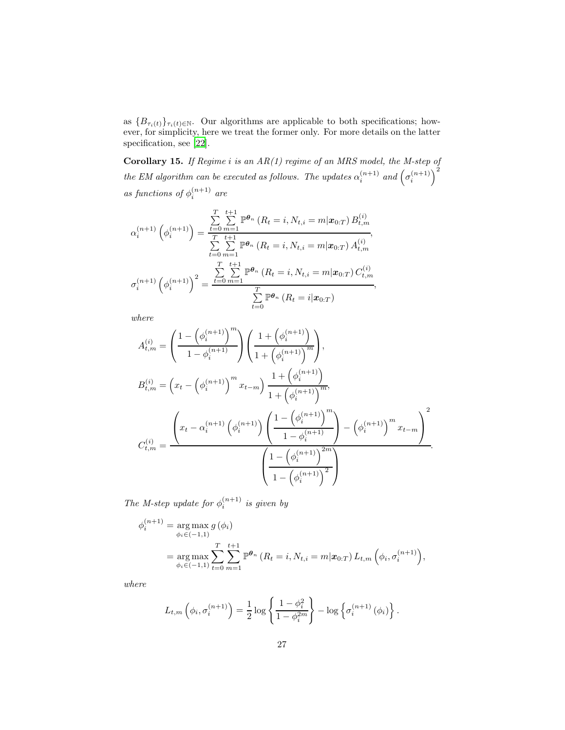as  ${B_{\tau_i(t)}\}_{\tau_i(t)\in\mathbb{N}}$ . Our algorithms are applicable to both specifications; however, for simplicity, here we treat the former only. For more details on the latter specification, see [\[22](#page-38-4)].

**Corollary 15.** If Regime i is an  $AR(1)$  regime of an MRS model, the M-step of the EM algorithm can be executed as follows. The updates  $\alpha_i^{(n+1)}$  and  $(\sigma_i^{(n+1)})^2$ as functions of  $\phi_i^{(n+1)}$  are

$$
\alpha_i^{(n+1)}\left(\phi_i^{(n+1)}\right) = \frac{\sum\limits_{t=0}^{T} \sum\limits_{m=1}^{t+1} \mathbb{P}^{\theta_n}\left(R_t = i, N_{t,i} = m | \mathbf{x}_{0:T}\right) B_{t,m}^{(i)}}{\sum\limits_{t=0}^{T} \sum\limits_{m=1}^{t+1} \mathbb{P}^{\theta_n}\left(R_t = i, N_{t,i} = m | \mathbf{x}_{0:T}\right) A_{t,m}^{(i)}},
$$
\n
$$
\sigma_i^{(n+1)}\left(\phi_i^{(n+1)}\right)^2 = \frac{\sum\limits_{t=0}^{T} \sum\limits_{m=1}^{t+1} \mathbb{P}^{\theta_n}\left(R_t = i, N_{t,i} = m | \mathbf{x}_{0:T}\right) C_{t,m}^{(i)}}{\sum\limits_{t=0}^{T} \mathbb{P}^{\theta_n}\left(R_t = i | \mathbf{x}_{0:T}\right)},
$$

where

$$
A_{t,m}^{(i)} = \left(\frac{1 - \left(\phi_i^{(n+1)}\right)^m}{1 - \phi_i^{(n+1)}}\right) \left(\frac{1 + \left(\phi_i^{(n+1)}\right)^m}{1 + \left(\phi_i^{(n+1)}\right)^m}\right),
$$
  
\n
$$
B_{t,m}^{(i)} = \left(x_t - \left(\phi_i^{(n+1)}\right)^m x_{t-m}\right) \frac{1 + \left(\phi_i^{(n+1)}\right)^m}{1 + \left(\phi_i^{(n+1)}\right)^m},
$$
  
\n
$$
C_{t,m}^{(i)} = \frac{\left(x_t - \alpha_i^{(n+1)} \left(\phi_i^{(n+1)}\right) \left(\frac{1 - \left(\phi_i^{(n+1)}\right)^m}{1 - \phi_i^{(n+1)}}\right) - \left(\phi_i^{(n+1)}\right)^m x_{t-m}\right)^2}{\left(\frac{1 - \left(\phi_i^{(n+1)}\right)^{2m}}{1 - \left(\phi_i^{(n+1)}\right)^2}\right)}.
$$

The M-step update for  $\phi_i^{(n+1)}$  is given by

$$
\phi_i^{(n+1)} = \underset{\phi_i \in (-1,1)}{\arg \max} g(\phi_i)
$$
  
= 
$$
\underset{\phi_i \in (-1,1)}{\arg \max} \sum_{t=0}^T \sum_{m=1}^{t+1} \mathbb{P}^{\theta_n} (R_t = i, N_{t,i} = m | \mathbf{x}_{0:T}) L_{t,m} (\phi_i, \sigma_i^{(n+1)}),
$$

where

$$
L_{t,m}\left(\phi_i, \sigma_i^{(n+1)}\right) = \frac{1}{2}\log\left\{\frac{1-\phi_i^2}{1-\phi_i^{2m}}\right\} - \log\left\{\sigma_i^{(n+1)}\left(\phi_i\right)\right\}.
$$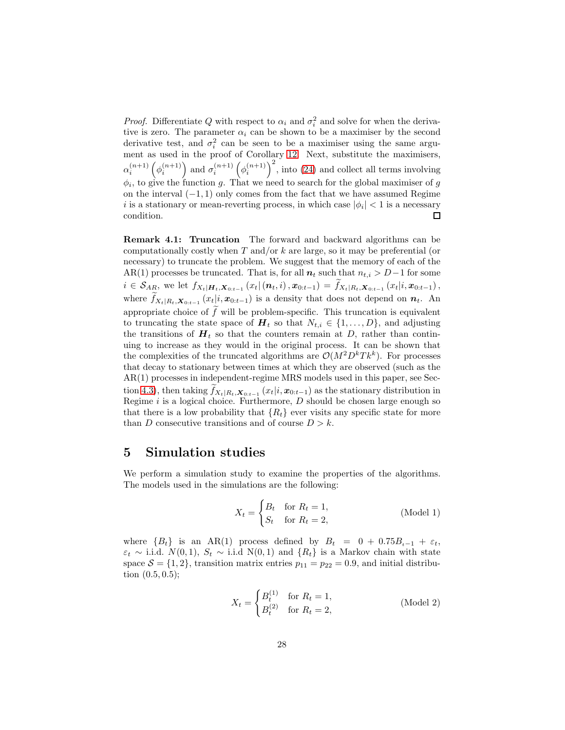*Proof.* Differentiate Q with respect to  $\alpha_i$  and  $\sigma_i^2$  and solve for when the derivative is zero. The parameter  $\alpha_i$  can be shown to be a maximiser by the second derivative test, and  $\sigma_i^2$  can be seen to be a maximiser using the same argument as used in the proof of Corollary [12.](#page-24-0) Next, substitute the maximisers,  $\alpha_i^{(n+1)}\left(\phi_i^{(n+1)}\right)$  and  $\sigma_i^{(n+1)}\left(\phi_i^{(n+1)}\right)^2$ , into [\(24\)](#page-22-1) and collect all terms involving  $\phi_i$ , to give the function g. That we need to search for the global maximiser of g on the interval  $(-1, 1)$  only comes from the fact that we have assumed Regime *i* is a stationary or mean-reverting process, in which case  $|\phi_i|$  < 1 is a necessary condition.

Remark 4.1: Truncation The forward and backward algorithms can be computationally costly when T and/or k are large, so it may be preferential (or necessary) to truncate the problem. We suggest that the memory of each of the AR(1) processes be truncated. That is, for all  $n_t$  such that  $n_{t,i} > D-1$  for some  $i \in \mathcal{S}_{AR}$ , we let  $f_{X_t|\mathbf{H}_t,\mathbf{X}_{0:t-1}}(x_t | (\boldsymbol{n}_t,i), \boldsymbol{x}_{0:t-1}) = \widetilde{f}_{X_t|R_t,\mathbf{X}_{0:t-1}}(x_t | i, \boldsymbol{x}_{0:t-1}),$ where  $\tilde{f}_{X_t|R_t, \mathbf{X}_{0:t-1}}(x_t|i, \boldsymbol{x}_{0:t-1})$  is a density that does not depend on  $n_t$ . An appropriate choice of  $f$  will be problem-specific. This truncation is equivalent to truncating the state space of  $\boldsymbol{H}_t$  so that  $N_{t,i} \in \{1, \ldots, D\}$ , and adjusting the transitions of  $H_t$  so that the counters remain at D, rather than continuing to increase as they would in the original process. It can be shown that the complexities of the truncated algorithms are  $\mathcal{O}(M^2D^kTk^k)$ . For processes that decay to stationary between times at which they are observed (such as the AR(1) processes in independent-regime MRS models used in this paper, see Sec-tion [4.3\)](#page-24-2), then taking  $\tilde{f}_{X_t|R_t, \mathbf{X}_{0:t-1}}(x_t|i, \mathbf{x}_{0:t-1})$  as the stationary distribution in Regime  $i$  is a logical choice. Furthermore,  $D$  should be chosen large enough so that there is a low probability that  $\{R_t\}$  ever visits any specific state for more than D consecutive transitions and of course  $D > k$ .

### <span id="page-27-0"></span>5 Simulation studies

We perform a simulation study to examine the properties of the algorithms. The models used in the simulations are the following:

$$
X_t = \begin{cases} B_t & \text{for } R_t = 1, \\ S_t & \text{for } R_t = 2, \end{cases}
$$
 (Model 1)

where  ${B_t}$  is an AR(1) process defined by  $B_t = 0 + 0.75B_{t-1} + \varepsilon_t$ ,  $\varepsilon_t \sim$  i.i.d.  $N(0, 1)$ ,  $S_t \sim$  i.i.d  $N(0, 1)$  and  $\{R_t\}$  is a Markov chain with state space  $S = \{1, 2\}$ , transition matrix entries  $p_{11} = p_{22} = 0.9$ , and initial distribution  $(0.5, 0.5)$ ;

$$
X_t = \begin{cases} B_t^{(1)} & \text{for } R_t = 1, \\ B_t^{(2)} & \text{for } R_t = 2, \end{cases}
$$
 (Model 2)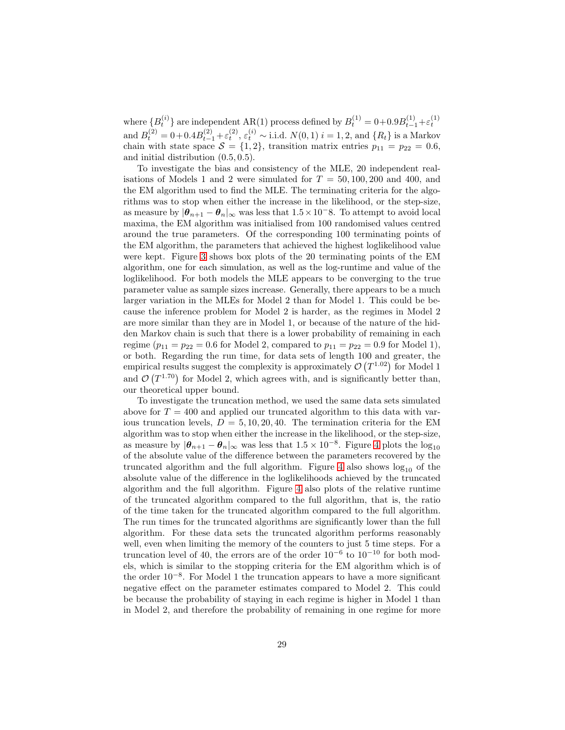where  ${B_t^{(i)}}$  are independent AR(1) process defined by  $B_t^{(1)} = 0 + 0.9B_{t-1}^{(1)} + \varepsilon_t^{(1)}$ and  $B_t^{(2)} = 0 + 0.4B_{t-1}^{(2)} + \varepsilon_t^{(2)}, \varepsilon_t^{(i)} \sim \text{i.i.d. } N(0, 1) \ i = 1, 2, \text{ and } \{R_t\} \text{ is a Markov}$ chain with state space  $S = \{1, 2\}$ , transition matrix entries  $p_{11} = p_{22} = 0.6$ , and initial distribution (0.5, 0.5).

To investigate the bias and consistency of the MLE, 20 independent realisations of Models 1 and 2 were simulated for  $T = 50, 100, 200$  and 400, and the EM algorithm used to find the MLE. The terminating criteria for the algorithms was to stop when either the increase in the likelihood, or the step-size, as measure by  $|\theta_{n+1} - \theta_n|_{\infty}$  was less that  $1.5 \times 10^{-8}$ . To attempt to avoid local maxima, the EM algorithm was initialised from 100 randomised values centred around the true parameters. Of the corresponding 100 terminating points of the EM algorithm, the parameters that achieved the highest loglikelihood value were kept. Figure [3](#page-29-0) shows box plots of the 20 terminating points of the EM algorithm, one for each simulation, as well as the log-runtime and value of the loglikelihood. For both models the MLE appears to be converging to the true parameter value as sample sizes increase. Generally, there appears to be a much larger variation in the MLEs for Model 2 than for Model 1. This could be because the inference problem for Model 2 is harder, as the regimes in Model 2 are more similar than they are in Model 1, or because of the nature of the hidden Markov chain is such that there is a lower probability of remaining in each regime  $(p_{11} = p_{22} = 0.6$  for Model 2, compared to  $p_{11} = p_{22} = 0.9$  for Model 1), or both. Regarding the run time, for data sets of length 100 and greater, the empirical results suggest the complexity is approximately  $\mathcal{O}(T^{1.02})$  for Model 1 and  $\mathcal{O}(T^{1.70})$  for Model 2, which agrees with, and is significantly better than, our theoretical upper bound.

To investigate the truncation method, we used the same data sets simulated above for  $T = 400$  and applied our truncated algorithm to this data with various truncation levels,  $D = 5, 10, 20, 40$ . The termination criteria for the EM algorithm was to stop when either the increase in the likelihood, or the step-size, as measure by  $|\theta_{n+1} - \theta_n|_{\infty}$  was less that  $1.5 \times 10^{-8}$ . Figure [4](#page-30-0) plots the log<sub>10</sub> of the absolute value of the difference between the parameters recovered by the truncated algorithm and the full algorithm. Figure [4](#page-30-0) also shows  $log_{10}$  of the absolute value of the difference in the loglikelihoods achieved by the truncated algorithm and the full algorithm. Figure [4](#page-30-0) also plots of the relative runtime of the truncated algorithm compared to the full algorithm, that is, the ratio of the time taken for the truncated algorithm compared to the full algorithm. The run times for the truncated algorithms are significantly lower than the full algorithm. For these data sets the truncated algorithm performs reasonably well, even when limiting the memory of the counters to just 5 time steps. For a truncation level of 40, the errors are of the order  $10^{-6}$  to  $10^{-10}$  for both models, which is similar to the stopping criteria for the EM algorithm which is of the order 10−<sup>8</sup> . For Model 1 the truncation appears to have a more significant negative effect on the parameter estimates compared to Model 2. This could be because the probability of staying in each regime is higher in Model 1 than in Model 2, and therefore the probability of remaining in one regime for more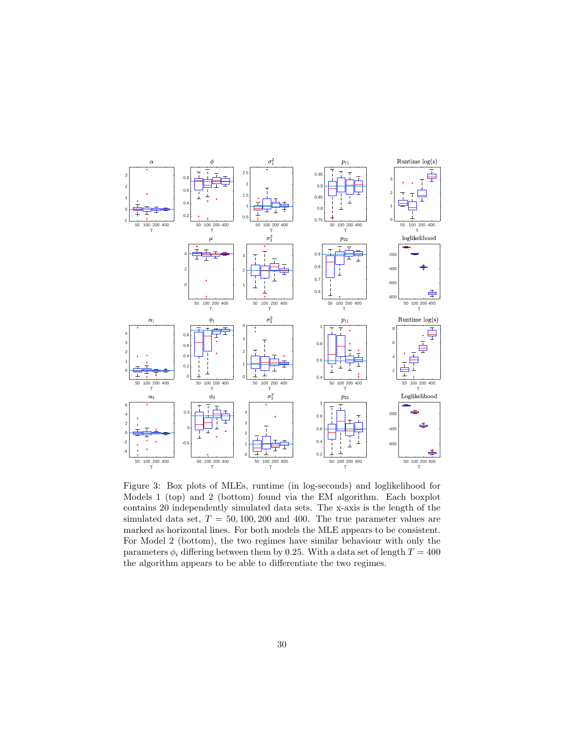

<span id="page-29-0"></span>Figure 3: Box plots of MLEs, runtime (in log-seconds) and loglikelihood for Models 1 (top) and 2 (bottom) found via the EM algorithm. Each boxplot contains 20 independently simulated data sets. The x-axis is the length of the simulated data set,  $T = 50, 100, 200$  and 400. The true parameter values are marked as horizontal lines. For both models the MLE appears to be consistent. For Model 2 (bottom), the two regimes have similar behaviour with only the parameters  $\phi_i$  differing between them by 0.25. With a data set of length  $T = 400$ the algorithm appears to be able to differentiate the two regimes.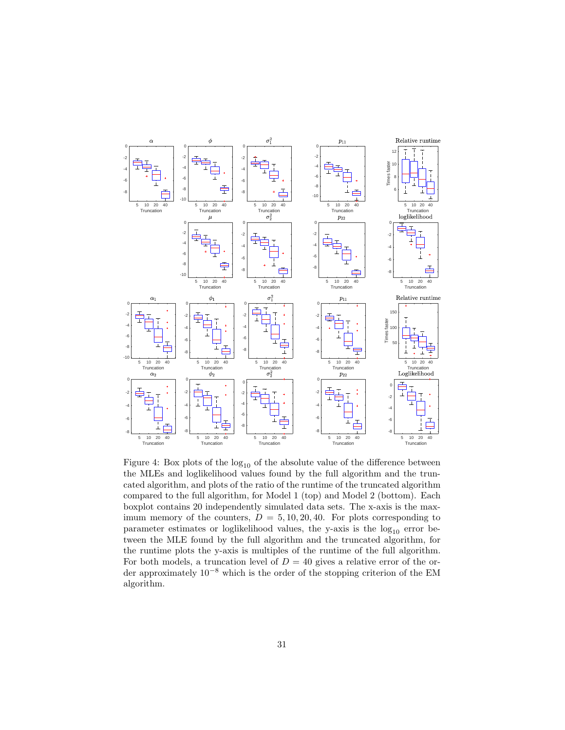

<span id="page-30-0"></span>Figure 4: Box plots of the  $log_{10}$  of the absolute value of the difference between the MLEs and loglikelihood values found by the full algorithm and the truncated algorithm, and plots of the ratio of the runtime of the truncated algorithm compared to the full algorithm, for Model 1 (top) and Model 2 (bottom). Each boxplot contains 20 independently simulated data sets. The x-axis is the maximum memory of the counters,  $D = 5, 10, 20, 40$ . For plots corresponding to parameter estimates or loglikelihood values, the y-axis is the  $log_{10}$  error between the MLE found by the full algorithm and the truncated algorithm, for the runtime plots the y-axis is multiples of the runtime of the full algorithm. For both models, a truncation level of  $D = 40$  gives a relative error of the order approximately 10−<sup>8</sup> which is the order of the stopping criterion of the EM algorithm.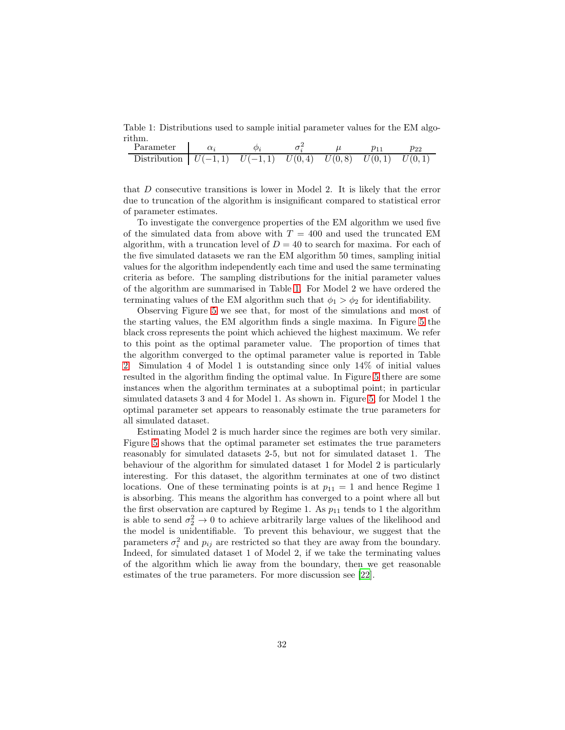Table 1: Distributions used to sample initial parameter values for the EM algorithm.

<span id="page-31-0"></span>

| Parameter                                                                                          |  |  |  |
|----------------------------------------------------------------------------------------------------|--|--|--|
| Distribution $\begin{bmatrix} U(-1,1) & U(-1,1) & U(0,4) & U(0,8) & U(0,1) & U(0,1) \end{bmatrix}$ |  |  |  |

that D consecutive transitions is lower in Model 2. It is likely that the error due to truncation of the algorithm is insignificant compared to statistical error of parameter estimates.

To investigate the convergence properties of the EM algorithm we used five of the simulated data from above with  $T = 400$  and used the truncated EM algorithm, with a truncation level of  $D = 40$  to search for maxima. For each of the five simulated datasets we ran the EM algorithm 50 times, sampling initial values for the algorithm independently each time and used the same terminating criteria as before. The sampling distributions for the initial parameter values of the algorithm are summarised in Table [1.](#page-31-0) For Model 2 we have ordered the terminating values of the EM algorithm such that  $\phi_1 > \phi_2$  for identifiability.

Observing Figure [5](#page-32-0) we see that, for most of the simulations and most of the starting values, the EM algorithm finds a single maxima. In Figure [5](#page-32-0) the black cross represents the point which achieved the highest maximum. We refer to this point as the optimal parameter value. The proportion of times that the algorithm converged to the optimal parameter value is reported in Table [2.](#page-33-1) Simulation 4 of Model 1 is outstanding since only 14% of initial values resulted in the algorithm finding the optimal value. In Figure [5](#page-32-0) there are some instances when the algorithm terminates at a suboptimal point; in particular simulated datasets 3 and 4 for Model 1. As shown in. Figure [5,](#page-32-0) for Model 1 the optimal parameter set appears to reasonably estimate the true parameters for all simulated dataset.

Estimating Model 2 is much harder since the regimes are both very similar. Figure [5](#page-32-0) shows that the optimal parameter set estimates the true parameters reasonably for simulated datasets 2-5, but not for simulated dataset 1. The behaviour of the algorithm for simulated dataset 1 for Model 2 is particularly interesting. For this dataset, the algorithm terminates at one of two distinct locations. One of these terminating points is at  $p_{11} = 1$  and hence Regime 1 is absorbing. This means the algorithm has converged to a point where all but the first observation are captured by Regime 1. As  $p_{11}$  tends to 1 the algorithm is able to send  $\sigma_2^2 \rightarrow 0$  to achieve arbitrarily large values of the likelihood and the model is unidentifiable. To prevent this behaviour, we suggest that the parameters  $\sigma_i^2$  and  $p_{ij}$  are restricted so that they are away from the boundary. Indeed, for simulated dataset 1 of Model 2, if we take the terminating values of the algorithm which lie away from the boundary, then we get reasonable estimates of the true parameters. For more discussion see [\[22\]](#page-38-4).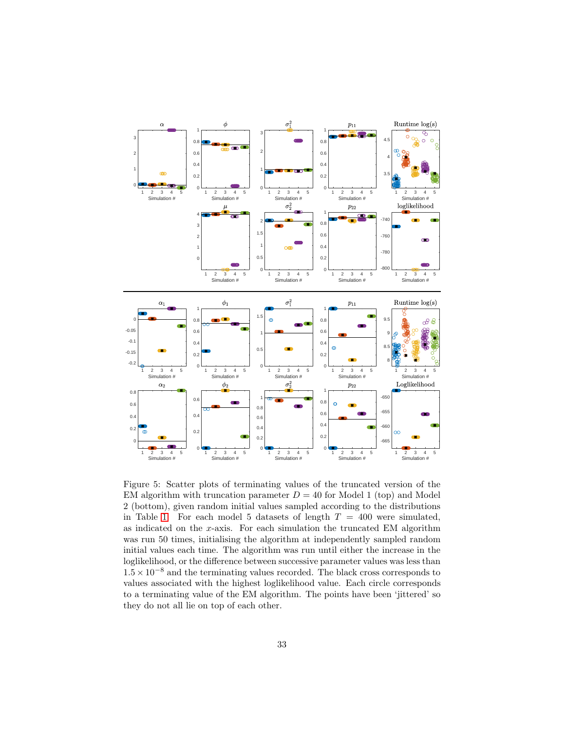

<span id="page-32-0"></span>Figure 5: Scatter plots of terminating values of the truncated version of the EM algorithm with truncation parameter  $D = 40$  for Model 1 (top) and Model 2 (bottom), given random initial values sampled according to the distributions in Table [1.](#page-31-0) For each model 5 datasets of length  $T = 400$  were simulated, as indicated on the  $x$ -axis. For each simulation the truncated EM algorithm was run 50 times, initialising the algorithm at independently sampled random initial values each time. The algorithm was run until either the increase in the loglikelihood, or the difference between successive parameter values was less than  $1.5 \times 10^{-8}$  and the terminating values recorded. The black cross corresponds to values associated with the highest loglikelihood value. Each circle corresponds to a terminating value of the EM algorithm. The points have been 'jittered' so they do not all lie on top of each other.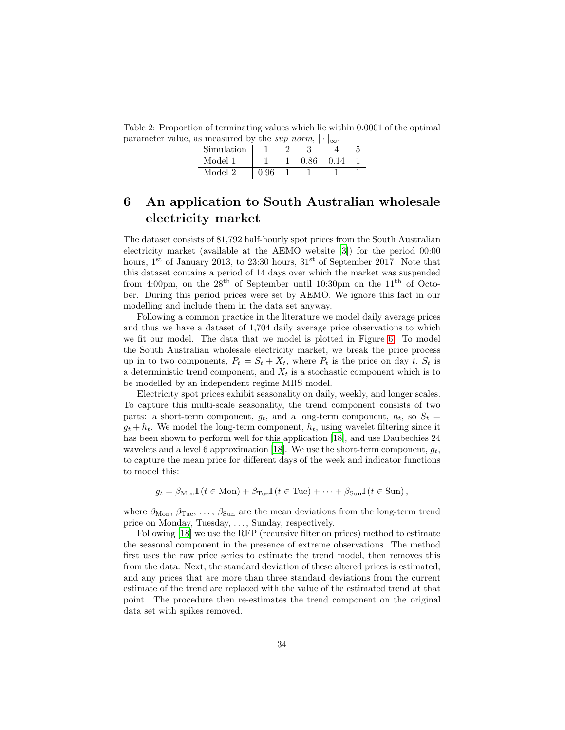<span id="page-33-1"></span>Table 2: Proportion of terminating values which lie within 0.0001 of the optimal parameter value, as measured by the sup norm,  $|\cdot|_{\infty}$ .

| Simulation |      |      | $\sim$ |  |
|------------|------|------|--------|--|
| Model 1    |      | 0.86 | 0 14   |  |
| Model 2    | A 96 |      |        |  |

## <span id="page-33-0"></span>6 An application to South Australian wholesale electricity market

The dataset consists of 81,792 half-hourly spot prices from the South Australian electricity market (available at the AEMO website [\[3](#page-36-7)]) for the period 00:00 hours,  $1<sup>st</sup>$  of January 2013, to 23:30 hours,  $31<sup>st</sup>$  of September 2017. Note that this dataset contains a period of 14 days over which the market was suspended from 4:00pm, on the  $28<sup>th</sup>$  of September until 10:30pm on the  $11<sup>th</sup>$  of October. During this period prices were set by AEMO. We ignore this fact in our modelling and include them in the data set anyway.

Following a common practice in the literature we model daily average prices and thus we have a dataset of 1,704 daily average price observations to which we fit our model. The data that we model is plotted in Figure [6.](#page-35-1) To model the South Australian wholesale electricity market, we break the price process up in to two components,  $P_t = S_t + X_t$ , where  $P_t$  is the price on day t,  $S_t$  is a deterministic trend component, and  $X_t$  is a stochastic component which is to be modelled by an independent regime MRS model.

Electricity spot prices exhibit seasonality on daily, weekly, and longer scales. To capture this multi-scale seasonality, the trend component consists of two parts: a short-term component,  $g_t$ , and a long-term component,  $h_t$ , so  $S_t$  $g_t + h_t$ . We model the long-term component,  $h_t$ , using wavelet filtering since it has been shown to perform well for this application [\[18\]](#page-37-11), and use Daubechies 24 wavelets and a level 6 approximation [\[18](#page-37-11)]. We use the short-term component,  $g_t$ , to capture the mean price for different days of the week and indicator functions to model this:

$$
g_t = \beta_{\text{Mon}} \mathbb{I} \left( t \in \text{Mon} \right) + \beta_{\text{Tue}} \mathbb{I} \left( t \in \text{Tue} \right) + \dots + \beta_{\text{Sun}} \mathbb{I} \left( t \in \text{Sun} \right),
$$

where  $\beta_{\text{Mon}}$ ,  $\beta_{\text{Tue}}$ , ...,  $\beta_{\text{Sun}}$  are the mean deviations from the long-term trend price on Monday, Tuesday, . . . , Sunday, respectively.

Following [\[18\]](#page-37-11) we use the RFP (recursive filter on prices) method to estimate the seasonal component in the presence of extreme observations. The method first uses the raw price series to estimate the trend model, then removes this from the data. Next, the standard deviation of these altered prices is estimated, and any prices that are more than three standard deviations from the current estimate of the trend are replaced with the value of the estimated trend at that point. The procedure then re-estimates the trend component on the original data set with spikes removed.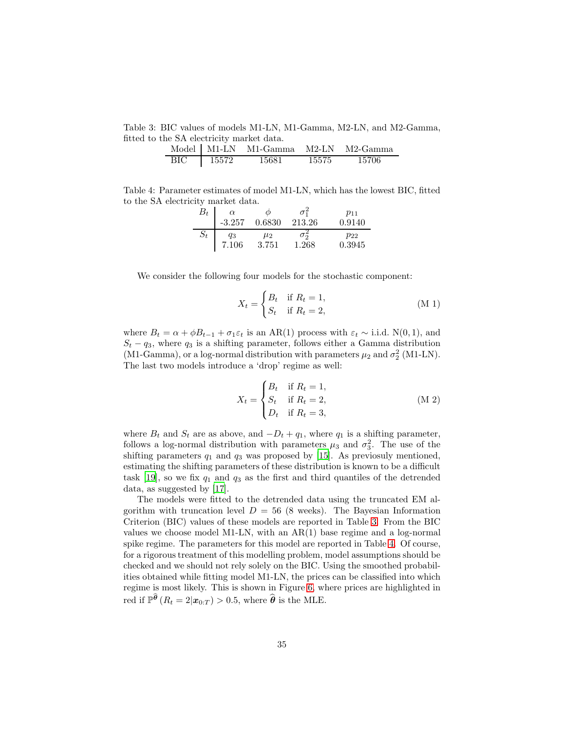Table 3: BIC values of models M1-LN, M1-Gamma, M2-LN, and M2-Gamma, fitted to the SA electricity market data.

<span id="page-34-0"></span>

|     |       | Model   M1-LN M1-Gamma |       | M2-LN M2-Gamma |
|-----|-------|------------------------|-------|----------------|
| BIC | 15572 | 15681                  | 15575 | 15706          |

Table 4: Parameter estimates of model M1-LN, which has the lowest BIC, fitted to the SA electricity market data.

<span id="page-34-1"></span>

| $B_t\,$ | $\alpha$<br>$-3.257$ | $\varnothing$<br>0.6830 | 213.26     | $p_{11}$<br>0.9140 |
|---------|----------------------|-------------------------|------------|--------------------|
| $S_t$   | qз                   | $\mu_2$                 | $\sigma$ ನ | $p_{22}$           |
|         | 7.106                | 3.751                   | 1.268      | 0.3945             |

We consider the following four models for the stochastic component:

$$
X_t = \begin{cases} B_t & \text{if } R_t = 1, \\ S_t & \text{if } R_t = 2, \end{cases}
$$
 (M 1)

where  $B_t = \alpha + \phi B_{t-1} + \sigma_1 \varepsilon_t$  is an AR(1) process with  $\varepsilon_t \sim$  i.i.d. N(0,1), and  $S_t - q_3$ , where  $q_3$  is a shifting parameter, follows either a Gamma distribution (M1-Gamma), or a log-normal distribution with parameters  $\mu_2$  and  $\sigma_2^2$  (M1-LN). The last two models introduce a 'drop' regime as well:

$$
X_t = \begin{cases} B_t & \text{if } R_t = 1, \\ S_t & \text{if } R_t = 2, \\ D_t & \text{if } R_t = 3, \end{cases}
$$
 (M 2)

where  $B_t$  and  $S_t$  are as above, and  $-D_t + q_1$ , where  $q_1$  is a shifting parameter, follows a log-normal distribution with parameters  $\mu_3$  and  $\sigma_3^2$ . The use of the shifting parameters  $q_1$  and  $q_3$  was proposed by [\[15\]](#page-37-12). As previosuly mentioned, estimating the shifting parameters of these distribution is known to be a difficult task [\[19](#page-37-10)], so we fix  $q_1$  and  $q_3$  as the first and third quantiles of the detrended data, as suggested by [\[17\]](#page-37-5).

The models were fitted to the detrended data using the truncated EM algorithm with truncation level  $D = 56$  (8 weeks). The Bayesian Information Criterion (BIC) values of these models are reported in Table [3.](#page-34-0) From the BIC values we choose model M1-LN, with an AR(1) base regime and a log-normal spike regime. The parameters for this model are reported in Table [4.](#page-34-1) Of course, for a rigorous treatment of this modelling problem, model assumptions should be checked and we should not rely solely on the BIC. Using the smoothed probabilities obtained while fitting model M1-LN, the prices can be classified into which regime is most likely. This is shown in Figure [6,](#page-35-1) where prices are highlighted in red if  $\mathbb{P}^{\widehat{\boldsymbol{\theta}}}(R_t = 2|\boldsymbol{x}_{0:T}) > 0.5$ , where  $\widehat{\boldsymbol{\theta}}$  is the MLE.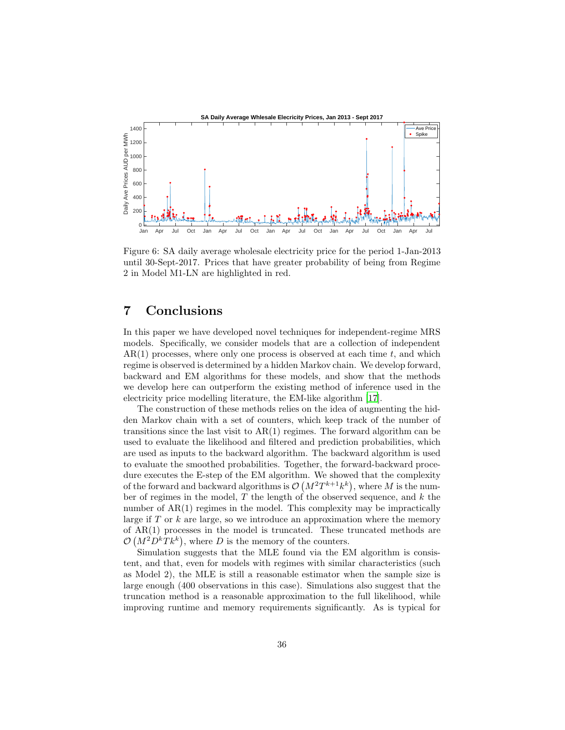

<span id="page-35-1"></span>Figure 6: SA daily average wholesale electricity price for the period 1-Jan-2013 until 30-Sept-2017. Prices that have greater probability of being from Regime 2 in Model M1-LN are highlighted in red.

### <span id="page-35-0"></span>7 Conclusions

In this paper we have developed novel techniques for independent-regime MRS models. Specifically, we consider models that are a collection of independent  $AR(1)$  processes, where only one process is observed at each time t, and which regime is observed is determined by a hidden Markov chain. We develop forward, backward and EM algorithms for these models, and show that the methods we develop here can outperform the existing method of inference used in the electricity price modelling literature, the EM-like algorithm [\[17](#page-37-5)].

The construction of these methods relies on the idea of augmenting the hidden Markov chain with a set of counters, which keep track of the number of transitions since the last visit to  $AR(1)$  regimes. The forward algorithm can be used to evaluate the likelihood and filtered and prediction probabilities, which are used as inputs to the backward algorithm. The backward algorithm is used to evaluate the smoothed probabilities. Together, the forward-backward procedure executes the E-step of the EM algorithm. We showed that the complexity of the forward and backward algorithms is  $\mathcal{O}(M^2T^{k+1}k^k)$ , where M is the number of regimes in the model,  $T$  the length of the observed sequence, and  $k$  the number of AR(1) regimes in the model. This complexity may be impractically large if  $T$  or  $k$  are large, so we introduce an approximation where the memory of  $AR(1)$  processes in the model is truncated. These truncated methods are  $\mathcal{O}(M^2D^kTk^k)$ , where D is the memory of the counters.

Simulation suggests that the MLE found via the EM algorithm is consistent, and that, even for models with regimes with similar characteristics (such as Model 2), the MLE is still a reasonable estimator when the sample size is large enough (400 observations in this case). Simulations also suggest that the truncation method is a reasonable approximation to the full likelihood, while improving runtime and memory requirements significantly. As is typical for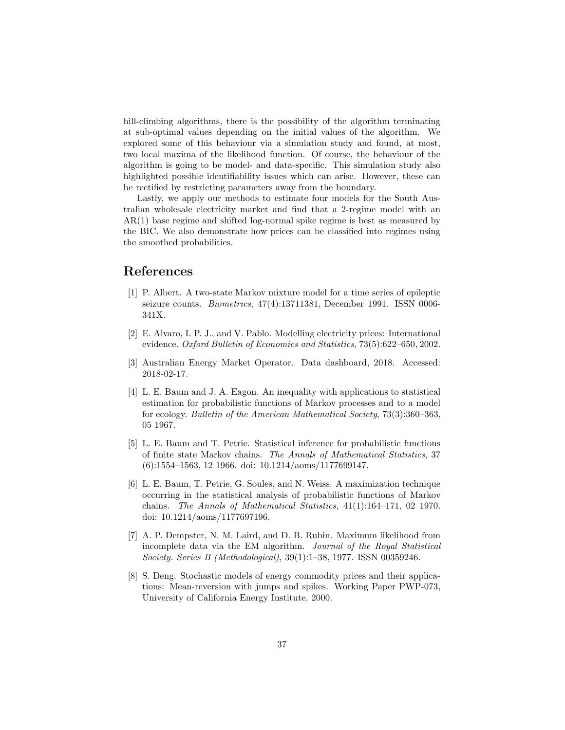hill-climbing algorithms, there is the possibility of the algorithm terminating at sub-optimal values depending on the initial values of the algorithm. We explored some of this behaviour via a simulation study and found, at most, two local maxima of the likelihood function. Of course, the behaviour of the algorithm is going to be model- and data-specific. This simulation study also highlighted possible identifiability issues which can arise. However, these can be rectified by restricting parameters away from the boundary.

Lastly, we apply our methods to estimate four models for the South Australian wholesale electricity market and find that a 2-regime model with an AR(1) base regime and shifted log-normal spike regime is best as measured by the BIC. We also demonstrate how prices can be classified into regimes using the smoothed probabilities.

### References

- <span id="page-36-1"></span>[1] P. Albert. A two-state Markov mixture model for a time series of epileptic seizure counts. Biometrics, 47(4):13711381, December 1991. ISSN 0006- 341X.
- <span id="page-36-2"></span>[2] E. Alvaro, I. P. J., and V. Pablo. Modelling electricity prices: International evidence. Oxford Bulletin of Economics and Statistics, 73(5):622–650, 2002.
- <span id="page-36-7"></span>[3] Australian Energy Market Operator. Data dashboard, 2018. Accessed: 2018-02-17.
- <span id="page-36-4"></span>[4] L. E. Baum and J. A. Eagon. An inequality with applications to statistical estimation for probabilistic functions of Markov processes and to a model for ecology. Bulletin of the American Mathematical Society, 73(3):360–363, 05 1967.
- <span id="page-36-3"></span>[5] L. E. Baum and T. Petrie. Statistical inference for probabilistic functions of finite state Markov chains. The Annals of Mathematical Statistics, 37 (6):1554–1563, 12 1966. doi: 10.1214/aoms/1177699147.
- <span id="page-36-5"></span>[6] L. E. Baum, T. Petrie, G. Soules, and N. Weiss. A maximization technique occurring in the statistical analysis of probabilistic functions of Markov chains. The Annals of Mathematical Statistics, 41(1):164–171, 02 1970. doi: 10.1214/aoms/1177697196.
- <span id="page-36-6"></span>[7] A. P. Dempster, N. M. Laird, and D. B. Rubin. Maximum likelihood from incomplete data via the EM algorithm. Journal of the Royal Statistical Society. Series B (Methodological), 39(1):1–38, 1977. ISSN 00359246.
- <span id="page-36-0"></span>[8] S. Deng. Stochastic models of energy commodity prices and their applications: Mean-reversion with jumps and spikes. Working Paper PWP-073, University of California Energy Institute, 2000.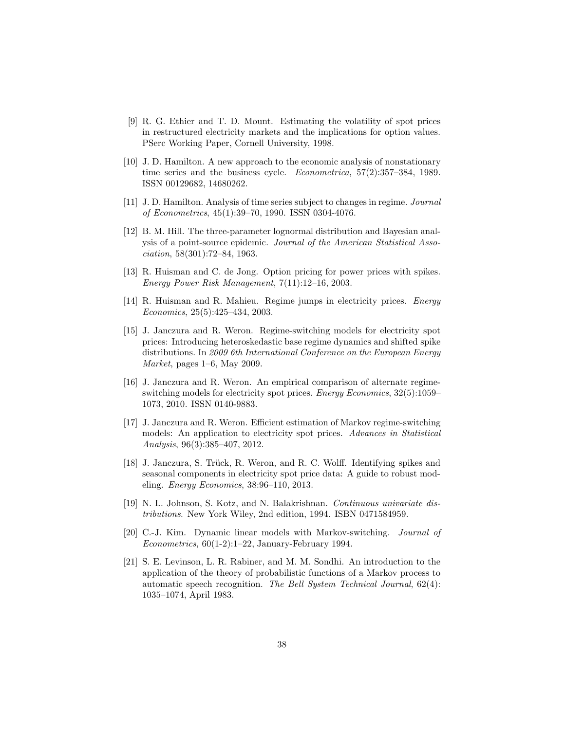- <span id="page-37-0"></span>[9] R. G. Ethier and T. D. Mount. Estimating the volatility of spot prices in restructured electricity markets and the implications for option values. PSerc Working Paper, Cornell University, 1998.
- <span id="page-37-6"></span>[10] J. D. Hamilton. A new approach to the economic analysis of nonstationary time series and the business cycle. Econometrica, 57(2):357–384, 1989. ISSN 00129682, 14680262.
- <span id="page-37-7"></span>[11] J. D. Hamilton. Analysis of time series subject to changes in regime. Journal of Econometrics, 45(1):39–70, 1990. ISSN 0304-4076.
- <span id="page-37-9"></span>[12] B. M. Hill. The three-parameter lognormal distribution and Bayesian analysis of a point-source epidemic. Journal of the American Statistical Association, 58(301):72–84, 1963.
- <span id="page-37-1"></span>[13] R. Huisman and C. de Jong. Option pricing for power prices with spikes. Energy Power Risk Management, 7(11):12–16, 2003.
- <span id="page-37-2"></span>[14] R. Huisman and R. Mahieu. Regime jumps in electricity prices. Energy Economics, 25(5):425–434, 2003.
- <span id="page-37-12"></span>[15] J. Janczura and R. Weron. Regime-switching models for electricity spot prices: Introducing heteroskedastic base regime dynamics and shifted spike distributions. In 2009 6th International Conference on the European Energy Market, pages 1–6, May 2009.
- <span id="page-37-4"></span>[16] J. Janczura and R. Weron. An empirical comparison of alternate regimeswitching models for electricity spot prices. Energy Economics, 32(5):1059– 1073, 2010. ISSN 0140-9883.
- <span id="page-37-5"></span>[17] J. Janczura and R. Weron. Efficient estimation of Markov regime-switching models: An application to electricity spot prices. Advances in Statistical Analysis, 96(3):385–407, 2012.
- <span id="page-37-11"></span>[18] J. Janczura, S. Trück, R. Weron, and R. C. Wolff. Identifying spikes and seasonal components in electricity spot price data: A guide to robust modeling. Energy Economics, 38:96–110, 2013.
- <span id="page-37-10"></span>[19] N. L. Johnson, S. Kotz, and N. Balakrishnan. Continuous univariate distributions. New York Wiley, 2nd edition, 1994. ISBN 0471584959.
- <span id="page-37-8"></span>[20] C.-J. Kim. Dynamic linear models with Markov-switching. Journal of  $Econometrics, 60(1-2):1-22, January-February 1994.$
- <span id="page-37-3"></span>[21] S. E. Levinson, L. R. Rabiner, and M. M. Sondhi. An introduction to the application of the theory of probabilistic functions of a Markov process to automatic speech recognition. The Bell System Technical Journal, 62(4): 1035–1074, April 1983.